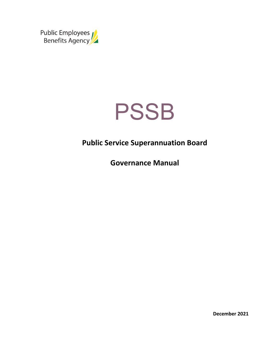



# **Public Service Superannuation Board**

**Governance Manual**

**December 2021**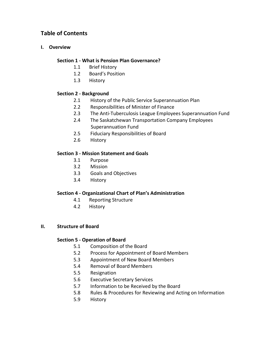# **Table of Contents**

### **I. Overview**

### **Section 1 - What is Pension Plan Governance?**

- 1.1 Brief History
- 1.2 Board's Position
- 1.3 History

### **Section 2 - Background**

- 2.1 History of the Public Service Superannuation Plan
- 2.2 Responsibilities of Minister of Finance
- 2.3 The Anti-Tuberculosis League Employees Superannuation Fund
- 2.4 The Saskatchewan Transportation Company Employees Superannuation Fund
- 2.5 Fiduciary Responsibilities of Board
- 2.6 History

### **Section 3 - Mission Statement and Goals**

- 3.1 Purpose
- 3.2 Mission
- 3.3 Goals and Objectives
- 3.4 History

### **Section 4 - Organizational Chart of Plan's Administration**

- 4.1 Reporting Structure
- 4.2 History

### **II. Structure of Board**

### **Section 5 - Operation of Board**

- 5.1 Composition of the Board
- 5.2 Process for Appointment of Board Members
- 5.3 Appointment of New Board Members
- 5.4 Removal of Board Members
- 5.5 Resignation
- 5.6 Executive Secretary Services
- 5.7 Information to be Received by the Board
- 5.8 Rules & Procedures for Reviewing and Acting on Information
- 5.9 History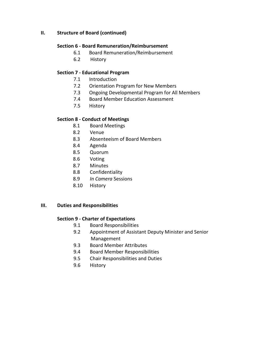### **II. Structure of Board (continued)**

#### **Section 6 - Board Remuneration/Reimbursement**

- 6.1 Board Remuneration/Reimbursement
- 6.2 History

### **Section 7 - Educational Program**

- 7.1 Introduction
- 7.2 Orientation Program for New Members
- 7.3 Ongoing Developmental Program for All Members
- 7.4 Board Member Education Assessment
- 7.5 History

### **Section 8 - Conduct of Meetings**

- 8.1 Board Meetings
- 8.2 Venue
- 8.3 Absenteeism of Board Members
- 8.4 Agenda
- 8.5 Quorum
- 8.6 Voting
- 8.7 Minutes
- 8.8 Confidentiality
- 8.9 *In Camera* Sessions
- 8.10 History

### **III. Duties and Responsibilities**

### **Section 9 - Charter of Expectations**

- 9.1 Board Responsibilities
- 9.2 Appointment of Assistant Deputy Minister and Senior Management
- 9.3 Board Member Attributes
- 9.4 Board Member Responsibilities
- 9.5 Chair Responsibilities and Duties
- 9.6 History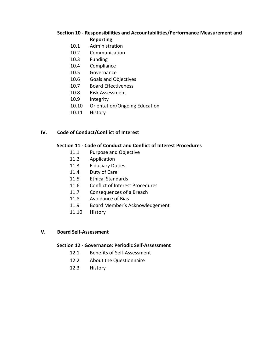### **Section 10 - Responsibilities and Accountabilities/Performance Measurement and Reporting**

- 10.1 Administration
- 10.2 Communication
- 10.3 Funding
- 10.4 Compliance
- 10.5 Governance
- 10.6 Goals and Objectives
- 10.7 Board Effectiveness
- 10.8 Risk Assessment
- 10.9 Integrity
- 10.10 Orientation/Ongoing Education
- 10.11 History

### **IV. Code of Conduct/Conflict of Interest**

### **Section 11 - Code of Conduct and Conflict of Interest Procedures**

- 11.1 Purpose and Objective
- 11.2 Application
- 11.3 Fiduciary Duties
- 11.4 Duty of Care
- 11.5 Ethical Standards
- 11.6 Conflict of Interest Procedures
- 11.7 Consequences of a Breach
- 11.8 Avoidance of Bias
- 11.9 Board Member's Acknowledgement
- 11.10 History

### **V. Board Self-Assessment**

#### **Section 12 - Governance: Periodic Self-Assessment**

- 12.1 Benefits of Self-Assessment
- 12.2 About the Questionnaire
- 12.3 History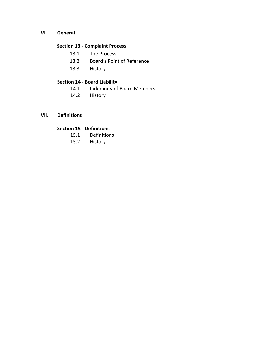**VI. General**

### **Section 13 - Complaint Process**

- 13.1 The Process
- 13.2 Board's Point of Reference
- 13.3 History

### **Section 14 - Board Liability**

- 14.1 Indemnity of Board Members
- 14.2 History
- **VII. Definitions**

## **Section 15 - Definitions**

- 15.1 Definitions
- 15.2 History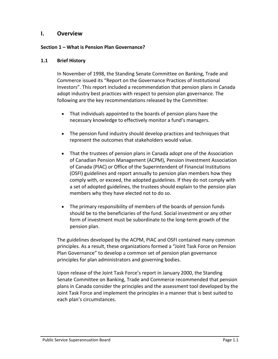### **I. Overview**

### **Section 1 – What is Pension Plan Governance?**

### **1.1 Brief History**

In November of 1998, the Standing Senate Committee on Banking, Trade and Commerce issued its "Report on the Governance Practices of Institutional Investors". This report included a recommendation that pension plans in Canada adopt industry best practices with respect to pension plan governance. The following are the key recommendations released by the Committee:

- That individuals appointed to the boards of pension plans have the necessary knowledge to effectively monitor a fund's managers.
- The pension fund industry should develop practices and techniques that represent the outcomes that stakeholders would value.
- That the trustees of pension plans in Canada adopt one of the Association of Canadian Pension Management (ACPM), Pension Investment Association of Canada (PIAC) or Office of the Superintendent of Financial Institutions (OSFI) guidelines and report annually to pension plan members how they comply with, or exceed, the adopted guidelines. If they do not comply with a set of adopted guidelines, the trustees should explain to the pension plan members why they have elected not to do so.
- The primary responsibility of members of the boards of pension funds should be to the beneficiaries of the fund. Social investment or any other form of investment must be subordinate to the long-term growth of the pension plan.

The guidelines developed by the ACPM, PIAC and OSFI contained many common principles. As a result, these organizations formed a "Joint Task Force on Pension Plan Governance" to develop a common set of pension plan governance principles for plan administrators and governing bodies.

Upon release of the Joint Task Force's report in January 2000, the Standing Senate Committee on Banking, Trade and Commerce recommended that pension plans in Canada consider the principles and the assessment tool developed by the Joint Task Force and implement the principles in a manner that is best suited to each plan's circumstances.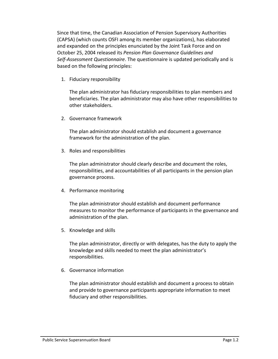Since that time, the Canadian Association of Pension Supervisory Authorities (CAPSA) (which counts OSFI among its member organizations), has elaborated and expanded on the principles enunciated by the Joint Task Force and on October 25, 2004 released its *Pension Plan Governance Guidelines and Self-Assessment Questionnaire*. The questionnaire is updated periodically and is based on the following principles:

1. Fiduciary responsibility

The plan administrator has fiduciary responsibilities to plan members and beneficiaries. The plan administrator may also have other responsibilities to other stakeholders.

2. Governance framework

The plan administrator should establish and document a governance framework for the administration of the plan.

3. Roles and responsibilities

The plan administrator should clearly describe and document the roles, responsibilities, and accountabilities of all participants in the pension plan governance process.

4. Performance monitoring

The plan administrator should establish and document performance measures to monitor the performance of participants in the governance and administration of the plan.

5. Knowledge and skills

The plan administrator, directly or with delegates, has the duty to apply the knowledge and skills needed to meet the plan administrator's responsibilities.

6. Governance information

The plan administrator should establish and document a process to obtain and provide to governance participants appropriate information to meet fiduciary and other responsibilities.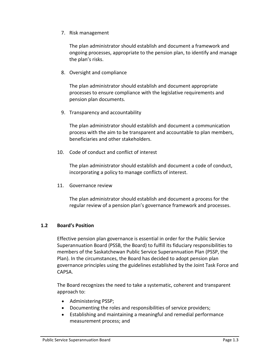7. Risk management

The plan administrator should establish and document a framework and ongoing processes, appropriate to the pension plan, to identify and manage the plan's risks.

8. Oversight and compliance

The plan administrator should establish and document appropriate processes to ensure compliance with the legislative requirements and pension plan documents.

9. Transparency and accountability

The plan administrator should establish and document a communication process with the aim to be transparent and accountable to plan members, beneficiaries and other stakeholders.

10. Code of conduct and conflict of interest

The plan administrator should establish and document a code of conduct, incorporating a policy to manage conflicts of interest.

11. Governance review

The plan administrator should establish and document a process for the regular review of a pension plan's governance framework and processes.

### **1.2 Board's Position**

Effective pension plan governance is essential in order for the Public Service Superannuation Board (PSSB, the Board) to fulfill its fiduciary responsibilities to members of the Saskatchewan Public Service Superannuation Plan (PSSP, the Plan). In the circumstances, the Board has decided to adopt pension plan governance principles using the guidelines established by the Joint Task Force and CAPSA.

The Board recognizes the need to take a systematic, coherent and transparent approach to:

- Administering PSSP;
- Documenting the roles and responsibilities of service providers;
- Establishing and maintaining a meaningful and remedial performance measurement process; and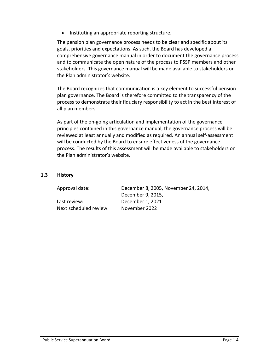• Instituting an appropriate reporting structure.

The pension plan governance process needs to be clear and specific about its goals, priorities and expectations. As such, the Board has developed a comprehensive governance manual in order to document the governance process and to communicate the open nature of the process to PSSP members and other stakeholders. This governance manual will be made available to stakeholders on the Plan administrator's website.

The Board recognizes that communication is a key element to successful pension plan governance. The Board is therefore committed to the transparency of the process to demonstrate their fiduciary responsibility to act in the best interest of all plan members.

As part of the on-going articulation and implementation of the governance principles contained in this governance manual, the governance process will be reviewed at least annually and modified as required. An annual self-assessment will be conducted by the Board to ensure effectiveness of the governance process. The results of this assessment will be made available to stakeholders on the Plan administrator's website.

### **1.3 History**

| Approval date:         | December 8, 2005, November 24, 2014, |
|------------------------|--------------------------------------|
|                        | December 9, 2015,                    |
| Last review:           | December 1, 2021                     |
| Next scheduled review: | November 2022                        |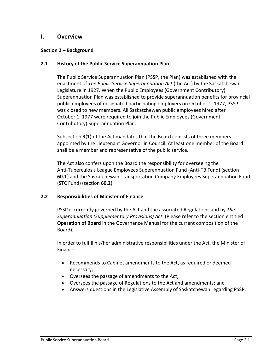### **I. Overview**

### **Section 2 – Background**

### **2.1 History of the Public Service Superannuation Plan**

The Public Service Superannuation Plan (PSSP, the Plan) was established with the enactment of *The Public Service Superannuation Act* (the Act) by the Saskatchewan Legislature in 1927. When the Public Employees (Government Contributory) Superannuation Plan was established to provide superannuation benefits for provincial public employees of designated participating employers on October 1, 1977, PSSP was closed to new members. All Saskatchewan public employees hired after October 1, 1977 were required to join the Public Employees (Government Contributory) Superannuation Plan.

Subsection **3(1)** of the Act mandates that the Board consists of three members appointed by the Lieutenant Governor in Council. At least one member of the Board shall be a member and representative of the public service.

The Act also confers upon the Board the responsibility for overseeing the Anti-Tuberculosis League Employees Superannuation Fund (Anti-TB Fund) (section **60.1**) and the Saskatchewan Transportation Company Employees Superannuation Fund (STC Fund) (section **60.2**).

### **2.2 Responsibilities of Minister of Finance**

PSSP is currently governed by the Act and the associated Regulations and by *The Superannuation (Supplementary Provisions) Act*. (Please refer to the section entitled **Operation of Board** in the Governance Manual for the current composition of the Board).

In order to fulfill his/her administrative responsibilities under the Act, the Minister of Finance:

- Recommends to Cabinet amendments to the Act, as required or deemed necessary;
- Oversees the passage of amendments to the Act;
- Oversees the passage of Regulations to the Act and amendments; and
- Answers questions in the Legislative Assembly of Saskatchewan regarding PSSP.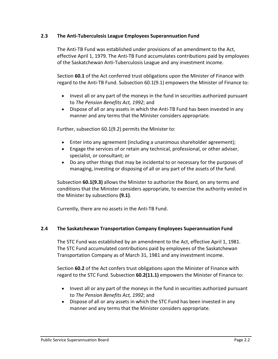### **2.3 The Anti-Tuberculosis League Employees Superannuation Fund**

The Anti-TB Fund was established under provisions of an amendment to the Act, effective April 1, 1979. The Anti-TB Fund accumulates contributions paid by employees of the Saskatchewan Anti-Tuberculosis League and any investment income.

Section **60.1** of the Act conferred trust obligations upon the Minister of Finance with regard to the Anti-TB Fund. Subsection 60.1(9.1) empowers the Minister of Finance to:

- Invest all or any part of the moneys in the fund in securities authorized pursuant to *The Pension Benefits Act, 1992*; and
- Dispose of all or any assets in which the Anti-TB Fund has been invested in any manner and any terms that the Minister considers appropriate.

Further, subsection 60.1(9.2) permits the Minister to:

- Enter into any agreement (including a unanimous shareholder agreement);
- Engage the services of or retain any technical, professional, or other adviser, specialist, or consultant; or
- Do any other things that may be incidental to or necessary for the purposes of managing, investing or disposing of all or any part of the assets of the fund.

Subsection **60.1(9.3)** allows the Minister to authorize the Board, on any terms and conditions that the Minister considers appropriate, to exercise the authority vested in the Minister by subsections **(9.1)**.

Currently, there are no assets in the Anti-TB Fund.

### **2.4 The Saskatchewan Transportation Company Employees Superannuation Fund**

The STC Fund was established by an amendment to the Act, effective April 1, 1981. The STC Fund accumulated contributions paid by employees of the Saskatchewan Transportation Company as of March 31, 1981 and any investment income.

Section **60.2** of the Act confers trust obligations upon the Minister of Finance with regard to the STC Fund. Subsection **60.2(11.1)** empowers the Minister of Finance to:

- Invest all or any part of the moneys in the fund in securities authorized pursuant to *The Pension Benefits Act, 1992*; and
- Dispose of all or any assets in which the STC Fund has been invested in any manner and any terms that the Minister considers appropriate.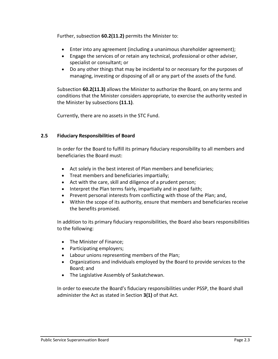Further, subsection **60.2(11.2)** permits the Minister to:

- Enter into any agreement (including a unanimous shareholder agreement);
- Engage the services of or retain any technical, professional or other adviser, specialist or consultant; or
- Do any other things that may be incidental to or necessary for the purposes of managing, investing or disposing of all or any part of the assets of the fund.

Subsection **60.2(11.3)** allows the Minister to authorize the Board, on any terms and conditions that the Minister considers appropriate, to exercise the authority vested in the Minister by subsections **(11.1)**.

Currently, there are no assets in the STC Fund.

### **2.5 Fiduciary Responsibilities of Board**

In order for the Board to fulfill its primary fiduciary responsibility to all members and beneficiaries the Board must:

- Act solely in the best interest of Plan members and beneficiaries;
- Treat members and beneficiaries impartially;
- Act with the care, skill and diligence of a prudent person;
- Interpret the Plan terms fairly, impartially and in good faith;
- Prevent personal interests from conflicting with those of the Plan; and,
- Within the scope of its authority, ensure that members and beneficiaries receive the benefits promised.

In addition to its primary fiduciary responsibilities, the Board also bears responsibilities to the following:

- The Minister of Finance;
- Participating employers;
- Labour unions representing members of the Plan;
- Organizations and individuals employed by the Board to provide services to the Board; and
- The Legislative Assembly of Saskatchewan.

In order to execute the Board's fiduciary responsibilities under PSSP, the Board shall administer the Act as stated in Section **3(1)** of that Act.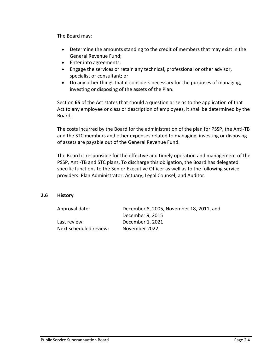The Board may:

- Determine the amounts standing to the credit of members that may exist in the General Revenue Fund;
- Enter into agreements;
- Engage the services or retain any technical, professional or other advisor, specialist or consultant; or
- Do any other things that it considers necessary for the purposes of managing, investing or disposing of the assets of the Plan.

Section **65** of the Act states that should a question arise as to the application of that Act to any employee or class or description of employees, it shall be determined by the Board.

The costs incurred by the Board for the administration of the plan for PSSP, the Anti-TB and the STC members and other expenses related to managing, investing or disposing of assets are payable out of the General Revenue Fund.

The Board is responsible for the effective and timely operation and management of the PSSP, Anti-TB and STC plans. To discharge this obligation, the Board has delegated specific functions to the Senior Executive Officer as well as to the following service providers: Plan Administrator; Actuary; Legal Counsel; and Auditor.

### **2.6 History**

| Approval date:         | December 8, 2005, November 18, 2011, and |
|------------------------|------------------------------------------|
|                        | December 9, 2015                         |
| Last review:           | December 1, 2021                         |
| Next scheduled review: | November 2022                            |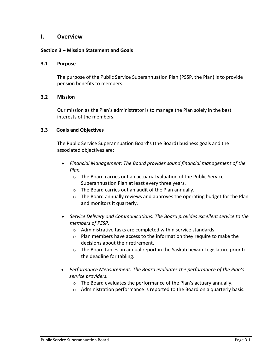### **I. Overview**

### **Section 3 – Mission Statement and Goals**

### **3.1 Purpose**

The purpose of the Public Service Superannuation Plan (PSSP, the Plan) is to provide pension benefits to members.

### **3.2 Mission**

Our mission as the Plan's administrator is to manage the Plan solely in the best interests of the members.

### **3.3 Goals and Objectives**

The Public Service Superannuation Board's (the Board) business goals and the associated objectives are:

- *Financial Management: The Board provides sound financial management of the Plan.*
	- o The Board carries out an actuarial valuation of the Public Service Superannuation Plan at least every three years.
	- o The Board carries out an audit of the Plan annually.
	- o The Board annually reviews and approves the operating budget for the Plan and monitors it quarterly.
- *Service Delivery and Communications: The Board provides excellent service to the members of PSSP.*
	- o Administrative tasks are completed within service standards.
	- o Plan members have access to the information they require to make the decisions about their retirement.
	- $\circ$  The Board tables an annual report in the Saskatchewan Legislature prior to the deadline for tabling.
- *Performance Measurement: The Board evaluates the performance of the Plan's service providers.*
	- o The Board evaluates the performance of the Plan's actuary annually.
	- $\circ$  Administration performance is reported to the Board on a quarterly basis.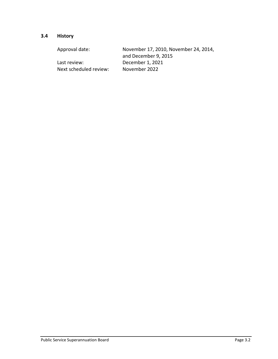# **3.4 History**

| Approval date:         | November 17, 2010, November 24, 2014, |
|------------------------|---------------------------------------|
|                        | and December 9, 2015                  |
| Last review:           | December 1, 2021                      |
| Next scheduled review: | November 2022                         |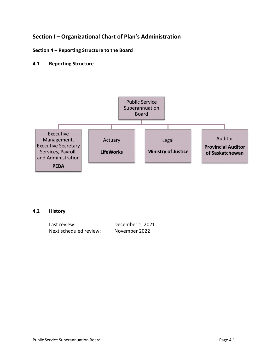# **Section I – Organizational Chart of Plan's Administration**

### **Section 4 – Reporting Structure to the Board**

### **4.1 Reporting Structure**



### **4.2 History**

| Last review:           | December 1, 2021 |
|------------------------|------------------|
| Next scheduled review: | November 2022    |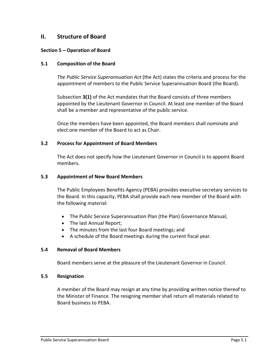## **II. Structure of Board**

### **Section 5 – Operation of Board**

### **5.1 Composition of the Board**

*The Public Service Superannuation Act* (the Act) states the criteria and process for the appointment of members to the Public Service Superannuation Board (the Board).

Subsection **3(1)** of the Act mandates that the Board consists of three members appointed by the Lieutenant Governor in Council. At least one member of the Board shall be a member and representative of the public service.

Once the members have been appointed, the Board members shall nominate and elect one member of the Board to act as Chair.

### **5.2 Process for Appointment of Board Members**

The Act does not specify how the Lieutenant Governor in Council is to appoint Board members.

### **5.3 Appointment of New Board Members**

The Public Employees Benefits Agency (PEBA) provides executive secretary services to the Board. In this capacity, PEBA shall provide each new member of the Board with the following material:

- The Public Service Superannuation Plan (the Plan) Governance Manual;
- The last Annual Report;
- The minutes from the last four Board meetings; and
- A schedule of the Board meetings during the current fiscal year.

### **5.4 Removal of Board Members**

Board members serve at the pleasure of the Lieutenant Governor in Council.

### **5.5 Resignation**

A member of the Board may resign at any time by providing written notice thereof to the Minister of Finance. The resigning member shall return all materials related to Board business to PEBA.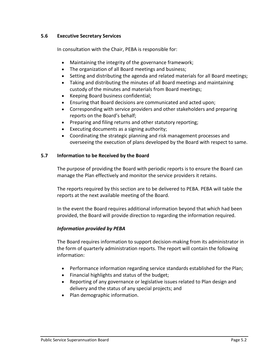### **5.6 Executive Secretary Services**

In consultation with the Chair, PEBA is responsible for:

- Maintaining the integrity of the governance framework;
- The organization of all Board meetings and business;
- Setting and distributing the agenda and related materials for all Board meetings;
- Taking and distributing the minutes of all Board meetings and maintaining custody of the minutes and materials from Board meetings;
- Keeping Board business confidential;
- Ensuring that Board decisions are communicated and acted upon;
- Corresponding with service providers and other stakeholders and preparing reports on the Board's behalf;
- Preparing and filing returns and other statutory reporting;
- Executing documents as a signing authority;
- Coordinating the strategic planning and risk management processes and overseeing the execution of plans developed by the Board with respect to same.

### **5.7 Information to be Received by the Board**

The purpose of providing the Board with periodic reports is to ensure the Board can manage the Plan effectively and monitor the service providers it retains.

The reports required by this section are to be delivered to PEBA. PEBA will table the reports at the next available meeting of the Board.

In the event the Board requires additional information beyond that which had been provided, the Board will provide direction to regarding the information required.

### *Information provided by PEBA*

The Board requires information to support decision-making from its administrator in the form of quarterly administration reports. The report will contain the following information:

- Performance information regarding service standards established for the Plan;
- Financial highlights and status of the budget;
- Reporting of any governance or legislative issues related to Plan design and delivery and the status of any special projects; and
- Plan demographic information.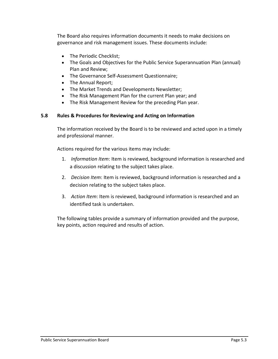The Board also requires information documents it needs to make decisions on governance and risk management issues. These documents include:

- The Periodic Checklist;
- The Goals and Objectives for the Public Service Superannuation Plan (annual) Plan and Review;
- The Governance Self-Assessment Questionnaire;
- The Annual Report;
- The Market Trends and Developments Newsletter;
- The Risk Management Plan for the current Plan year; and
- The Risk Management Review for the preceding Plan year.

### **5.8 Rules & Procedures for Reviewing and Acting on Information**

The information received by the Board is to be reviewed and acted upon in a timely and professional manner.

Actions required for the various items may include:

- 1. *Information Item*: Item is reviewed, background information is researched and a discussion relating to the subject takes place.
- 2. *Decision Item*: Item is reviewed, background information is researched and a decision relating to the subject takes place.
- 3. *Action Item*: Item is reviewed, background information is researched and an identified task is undertaken.

The following tables provide a summary of information provided and the purpose, key points, action required and results of action.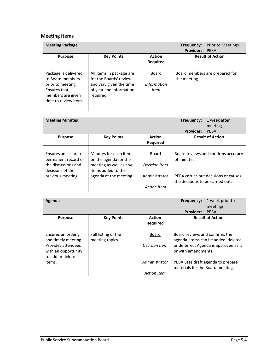# **Meeting Items**

| <b>Meeting Package</b>                                                                                                      |                                                                                                                       |                                     | <b>Prior to Meetings</b><br>Frequency:<br><b>Provider:</b><br>PFBA |
|-----------------------------------------------------------------------------------------------------------------------------|-----------------------------------------------------------------------------------------------------------------------|-------------------------------------|--------------------------------------------------------------------|
| <b>Purpose</b>                                                                                                              | <b>Key Points</b>                                                                                                     | <b>Action</b><br><b>Required</b>    | <b>Result of Action</b>                                            |
| Package is delivered<br>to Board members<br>prior to meeting.<br>Ensures that<br>members are given<br>time to review items. | All items in package are<br>for the Boards' review<br>and vary given the time<br>of year and information<br>required. | Board<br><b>Information</b><br>Item | Board members are prepared for<br>the meeting.                     |

| <b>Meeting Minutes</b>                                            |                                                                          |                                     | Frequency:                       | 1 week after<br>meeting              |
|-------------------------------------------------------------------|--------------------------------------------------------------------------|-------------------------------------|----------------------------------|--------------------------------------|
|                                                                   |                                                                          |                                     | <b>Provider:</b>                 | PEBA                                 |
| <b>Purpose</b>                                                    | <b>Key Points</b>                                                        | <b>Action</b>                       |                                  | <b>Result of Action</b>              |
|                                                                   |                                                                          | <b>Required</b>                     |                                  |                                      |
| Ensures an accurate<br>permanent record of<br>the discussions and | Minutes for each item<br>on the agenda for the<br>meeting as well as any | Board<br>Decision Item              | of minutes.                      | Board reviews and confirms accuracy  |
| decisions of the<br>previous meeting.                             | items added to the<br>agenda at the meeting.                             | Administrator<br><b>Action Item</b> | the decisions to be carried out. | PEBA carries out decisions or causes |

| Agenda              |                     |                    | Frequency:                       | 1 week prior to                       |
|---------------------|---------------------|--------------------|----------------------------------|---------------------------------------|
|                     |                     |                    |                                  | meetings                              |
|                     |                     |                    | <b>Provider:</b>                 | <b>PFBA</b>                           |
| <b>Purpose</b>      | <b>Key Points</b>   | <b>Action</b>      |                                  | <b>Result of Action</b>               |
|                     |                     | Required           |                                  |                                       |
|                     |                     |                    |                                  |                                       |
| Ensures an orderly  | Full listing of the | Board              | Board reviews and confirms the   |                                       |
| and timely meeting. | meeting topics.     |                    |                                  | agenda. Items can be added, deleted   |
| Provides attendees  |                     | Decision Item      |                                  | or deferred. Agenda is approved as is |
| with an opportunity |                     |                    | or with amendments.              |                                       |
| to add or delete    |                     |                    |                                  |                                       |
| items.              |                     | Administrator      |                                  | PEBA uses draft agenda to prepare     |
|                     |                     |                    | materials for the Board meeting. |                                       |
|                     |                     | <b>Action Item</b> |                                  |                                       |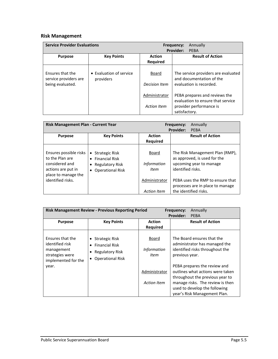# **Risk Management**

|                                                               | <b>Service Provider Evaluations</b>  |                                          | Annually<br>Frequency:                                                                     |
|---------------------------------------------------------------|--------------------------------------|------------------------------------------|--------------------------------------------------------------------------------------------|
|                                                               |                                      |                                          | <b>Provider:</b><br><b>PFBA</b>                                                            |
| <b>Purpose</b>                                                | <b>Key Points</b>                    | <b>Result of Action</b><br><b>Action</b> |                                                                                            |
|                                                               |                                      | <b>Required</b>                          |                                                                                            |
| Ensures that the<br>service providers are<br>being evaluated. | • Evaluation of service<br>providers | Board<br>Decision Item                   | The service providers are evaluated<br>and documentation of the<br>evaluation is recorded. |
|                                                               |                                      | Administrator                            | PEBA prepares and reviews the<br>evaluation to ensure that service                         |
|                                                               |                                      | <b>Action Item</b>                       | provider performance is<br>satisfactory.                                                   |

| Risk Management Plan - Current Year                                                                      |                                                                                                              |                                     | Annually<br><b>Frequency:</b>                                                                                   |
|----------------------------------------------------------------------------------------------------------|--------------------------------------------------------------------------------------------------------------|-------------------------------------|-----------------------------------------------------------------------------------------------------------------|
|                                                                                                          |                                                                                                              |                                     | <b>Provider:</b><br><b>PFBA</b>                                                                                 |
| <b>Purpose</b>                                                                                           | <b>Key Points</b>                                                                                            | <b>Action</b>                       | <b>Result of Action</b>                                                                                         |
|                                                                                                          |                                                                                                              | <b>Required</b>                     |                                                                                                                 |
| Ensures possible risks<br>to the Plan are<br>considered and<br>actions are put in<br>place to manage the | Strategic Risk<br>$\bullet$<br>$\bullet$ Financial Risk<br><b>Regulatory Risk</b><br><b>Operational Risk</b> | Board<br><b>Information</b><br>Item | The Risk Management Plan (RMP),<br>as approved, is used for the<br>upcoming year to manage<br>identified risks. |
| identified risks.                                                                                        |                                                                                                              | Administrator                       | PEBA uses the RMP to ensure that<br>processes are in place to manage                                            |
|                                                                                                          |                                                                                                              | <b>Action Item</b>                  | the identified risks.                                                                                           |

|                                                                                             | <b>Risk Management Review - Previous Reporting Period</b>                               | Annually<br>Frequency:              |                                                                                                                                                                                                          |  |
|---------------------------------------------------------------------------------------------|-----------------------------------------------------------------------------------------|-------------------------------------|----------------------------------------------------------------------------------------------------------------------------------------------------------------------------------------------------------|--|
| <b>Purpose</b>                                                                              | <b>Key Points</b>                                                                       | <b>Action</b><br><b>Required</b>    | <b>Provider:</b><br><b>PEBA</b><br><b>Result of Action</b>                                                                                                                                               |  |
| Ensures that the<br>identified risk<br>management<br>strategies were<br>implemented for the | • Strategic Risk<br><b>Financial Risk</b><br>Regulatory Risk<br><b>Operational Risk</b> | Board<br><b>Information</b><br>Item | The Board ensures that the<br>administrator has managed the<br>identified risks throughout the<br>previous year.                                                                                         |  |
| year.                                                                                       |                                                                                         | Administrator<br>Action Item        | PEBA prepares the review and<br>outlines what actions were taken<br>throughout the previous year to<br>manage risks. The review is then<br>used to develop the following<br>year's Risk Management Plan. |  |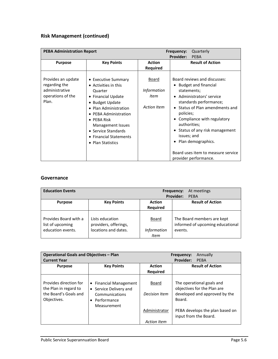# **Risk Management (continued)**

| <b>PEBA Administration Report</b>                                                   |                                                                                                                                                                                                                                                                     |                                                                         | Frequency:                                              | Quarterly                                                                                                                                                                                                                                                                                                 |
|-------------------------------------------------------------------------------------|---------------------------------------------------------------------------------------------------------------------------------------------------------------------------------------------------------------------------------------------------------------------|-------------------------------------------------------------------------|---------------------------------------------------------|-----------------------------------------------------------------------------------------------------------------------------------------------------------------------------------------------------------------------------------------------------------------------------------------------------------|
|                                                                                     |                                                                                                                                                                                                                                                                     |                                                                         | <b>Provider:</b>                                        | <b>PEBA</b>                                                                                                                                                                                                                                                                                               |
| <b>Purpose</b>                                                                      | <b>Key Points</b>                                                                                                                                                                                                                                                   | <b>Action</b><br>Required                                               |                                                         | <b>Result of Action</b>                                                                                                                                                                                                                                                                                   |
| Provides an update<br>regarding the<br>administrative<br>operations of the<br>Plan. | • Executive Summary<br>• Activities in this<br>Quarter<br>• Financial Update<br>• Budget Update<br>• Plan Administration<br>• PEBA Administration<br>$\bullet$ PEBA Risk<br>Management Issues<br>• Service Standards<br>• Financial Statements<br>• Plan Statistics | <u>Board</u><br><i>Information</i><br><b>Item</b><br><b>Action Item</b> | statements;<br>policies;<br>authorities;<br>issues; and | Board reviews and discusses:<br><b>Budget and financial</b><br>• Administrators' service<br>standards performance;<br>• Status of Plan amendments and<br>Compliance with regulatory<br>Status of any risk management<br>Plan demographics.<br>Board uses item to measure service<br>provider performance. |

### **Governance**

| <b>Education Events</b>                                        | At meetings<br>Frequency:<br><b>Provider:</b><br>PFRA            |                                     |                                                                           |
|----------------------------------------------------------------|------------------------------------------------------------------|-------------------------------------|---------------------------------------------------------------------------|
| <b>Purpose</b>                                                 | <b>Key Points</b>                                                | <b>Action</b><br><b>Required</b>    | <b>Result of Action</b>                                                   |
| Provides Board with a<br>list of upcoming<br>education events. | Lists education<br>providers, offerings,<br>locations and dates. | Board<br><b>Information</b><br>Item | The Board members are kept<br>informed of upcoming educational<br>events. |

| <b>Operational Goals and Objectives - Plan</b><br><b>Current Year</b> |                                                  |                                                             | Annually<br>Frequency:<br><b>Provider:</b><br>PEBA       |
|-----------------------------------------------------------------------|--------------------------------------------------|-------------------------------------------------------------|----------------------------------------------------------|
| <b>Purpose</b>                                                        | <b>Key Points</b>                                | <b>Result of Action</b><br><b>Action</b><br><b>Required</b> |                                                          |
|                                                                       |                                                  |                                                             |                                                          |
| Provides direction for<br>the Plan in regard to                       | • Financial Management<br>• Service Delivery and | Board                                                       | The operational goals and<br>objectives for the Plan are |
| the Board's Goals and<br>Objectives.                                  | Communications<br>Performance                    | Decision Item                                               | developed and approved by the<br>Board.                  |
|                                                                       | Measurement                                      |                                                             |                                                          |
|                                                                       |                                                  | Administrator                                               | PEBA develops the plan based on<br>input from the Board. |
|                                                                       |                                                  | <b>Action Item</b>                                          |                                                          |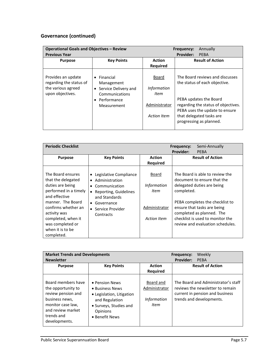# **Governance (continued)**

| <b>Operational Goals and Objectives - Review</b>                                        |                                                                                                                       | Annually<br>Frequency:                                              |                                                                                                                                                                                                                            |
|-----------------------------------------------------------------------------------------|-----------------------------------------------------------------------------------------------------------------------|---------------------------------------------------------------------|----------------------------------------------------------------------------------------------------------------------------------------------------------------------------------------------------------------------------|
| <b>Previous Year</b>                                                                    |                                                                                                                       |                                                                     | <b>Provider:</b><br>PEBA                                                                                                                                                                                                   |
| <b>Purpose</b>                                                                          | <b>Key Points</b>                                                                                                     | <b>Action</b>                                                       | <b>Result of Action</b>                                                                                                                                                                                                    |
|                                                                                         |                                                                                                                       | <b>Required</b>                                                     |                                                                                                                                                                                                                            |
| Provides an update<br>regarding the status of<br>the various agreed<br>upon objectives. | $\bullet$ Financial<br>Management<br>• Service Delivery and<br>Communications<br>$\bullet$ Performance<br>Measurement | Board<br><b>Information</b><br>Item<br>Administrator<br>Action Item | The Board reviews and discusses<br>the status of each objective.<br>PEBA updates the Board<br>regarding the status of objectives.<br>PEBA uses the update to ensure<br>that delegated tasks are<br>progressing as planned. |

| <b>Periodic Checklist</b>                                                                                                                                                                                                                     |                                                                                                                                                                                 |                                                                            | Frequency:<br><b>Provider:</b> | Semi-Annually<br><b>PEBA</b>                                                                                                                                                                                                                                        |
|-----------------------------------------------------------------------------------------------------------------------------------------------------------------------------------------------------------------------------------------------|---------------------------------------------------------------------------------------------------------------------------------------------------------------------------------|----------------------------------------------------------------------------|--------------------------------|---------------------------------------------------------------------------------------------------------------------------------------------------------------------------------------------------------------------------------------------------------------------|
| <b>Purpose</b>                                                                                                                                                                                                                                | <b>Key Points</b>                                                                                                                                                               | <b>Action</b><br><b>Required</b>                                           |                                | <b>Result of Action</b>                                                                                                                                                                                                                                             |
| The Board ensures<br>that the delegated<br>duties are being<br>performed in a timely<br>and effective<br>manner. The Board<br>confirms whether an<br>activity was<br>completed, when it<br>was completed or<br>when it is to be<br>completed. | • Legislative Compliance<br>Administration<br>$\bullet$<br>Communication<br>• Reporting, Guidelines<br>and Standards<br>$\bullet$ Governance<br>• Service Provider<br>Contracts | Board<br><b>Information</b><br>Item<br>Administrator<br><b>Action Item</b> | completed.                     | The Board is able to review the<br>document to ensure that the<br>delegated duties are being<br>PEBA completes the checklist to<br>ensure that tasks are being<br>completed as planned. The<br>checklist is used to monitor the<br>review and evaluation schedules. |

| <b>Market Trends and Developments</b><br><b>Newsletter</b>                                                                                                |                                                                                                                                          |                                                          | Frequency:<br><b>Provider:</b> | Weekly<br><b>PFBA</b>                                                                                                                  |
|-----------------------------------------------------------------------------------------------------------------------------------------------------------|------------------------------------------------------------------------------------------------------------------------------------------|----------------------------------------------------------|--------------------------------|----------------------------------------------------------------------------------------------------------------------------------------|
| <b>Purpose</b>                                                                                                                                            | <b>Key Points</b>                                                                                                                        | <b>Action</b><br><b>Required</b>                         |                                | <b>Result of Action</b>                                                                                                                |
| Board members have<br>the opportunity to<br>review pension and<br>business news,<br>monitor case law,<br>and review market<br>trends and<br>developments. | • Pension News<br>• Business News<br>• Legislation, Litigation<br>and Regulation<br>• Surveys, Studies and<br>Opinions<br>• Benefit News | Board and<br>Administrator<br><b>Information</b><br>Item |                                | The Board and Administrator's staff<br>reviews the newsletter to remain<br>current in pension and business<br>trends and developments. |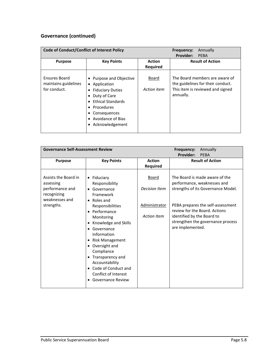# **Governance (continued)**

| <b>Code of Conduct/Conflict of Interest Policy</b>           |                                                                                                                                                                                         |                                  | Annually<br>Frequency:<br><b>Provider:</b><br>PFBA                                                                   |
|--------------------------------------------------------------|-----------------------------------------------------------------------------------------------------------------------------------------------------------------------------------------|----------------------------------|----------------------------------------------------------------------------------------------------------------------|
| <b>Purpose</b>                                               | <b>Key Points</b>                                                                                                                                                                       | <b>Action</b><br><b>Required</b> | <b>Result of Action</b>                                                                                              |
| <b>Ensures Board</b><br>maintains guidelines<br>for conduct. | • Purpose and Objective<br>• Application<br><b>Fiduciary Duties</b><br>Duty of Care<br><b>Ethical Standards</b><br>Procedures<br>Consequences<br>Avoidance of Bias<br>• Acknowledgement | Board<br>Action item             | The Board members are aware of<br>the guidelines for their conduct.<br>This item is reviewed and signed<br>annually. |

| <b>Governance Self-Assessment Review</b>                                                            |                                                                                                                                                                                                                                                                                                                                                                     | Frequency:<br>Annually<br><b>Provider:</b><br><b>PEBA</b>                   |                                                                                                                                                                                                                                                                  |
|-----------------------------------------------------------------------------------------------------|---------------------------------------------------------------------------------------------------------------------------------------------------------------------------------------------------------------------------------------------------------------------------------------------------------------------------------------------------------------------|-----------------------------------------------------------------------------|------------------------------------------------------------------------------------------------------------------------------------------------------------------------------------------------------------------------------------------------------------------|
| <b>Purpose</b>                                                                                      | <b>Key Points</b>                                                                                                                                                                                                                                                                                                                                                   | <b>Action</b><br><b>Required</b>                                            | <b>Result of Action</b>                                                                                                                                                                                                                                          |
| Assists the Board in<br>assessing<br>performance and<br>recognizing<br>weaknesses and<br>strengths. | $\bullet$ Fiduciary<br>Responsibility<br>• Governance<br>Framework<br>• Roles and<br>Responsibilities<br>• Performance<br>Monitoring<br>• Knowledge and Skills<br>• Governance<br>Information<br>• Risk Management<br>• Oversight and<br>Compliance<br>• Transparency and<br>Accountability<br>• Code of Conduct and<br>Conflict of Interest<br>• Governance Review | <u>Board</u><br>Decision Item<br><b>Administrator</b><br><b>Action Item</b> | The Board is made aware of the<br>performance, weaknesses and<br>strengths of its Governance Model.<br>PEBA prepares the self-assessment<br>review for the Board. Actions<br>identified by the Board to<br>strengthen the governance process<br>are implemented. |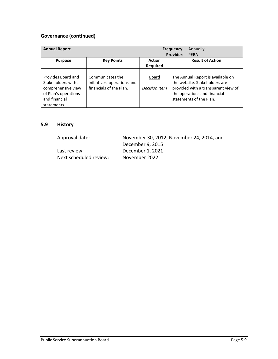# **Governance (continued)**

| <b>Annual Report</b>                                                                                                    | Annually<br>Frequency:<br><b>Provider:</b><br>PFBA                         |                                  |                                                                                                                                                                      |
|-------------------------------------------------------------------------------------------------------------------------|----------------------------------------------------------------------------|----------------------------------|----------------------------------------------------------------------------------------------------------------------------------------------------------------------|
| <b>Purpose</b>                                                                                                          | <b>Key Points</b>                                                          | <b>Action</b><br><b>Required</b> | <b>Result of Action</b>                                                                                                                                              |
| Provides Board and<br>Stakeholders with a<br>comprehensive view<br>of Plan's operations<br>and financial<br>statements. | Communicates the<br>initiatives, operations and<br>financials of the Plan. | Board<br>Decision Item           | The Annual Report is available on<br>the website. Stakeholders are<br>provided with a transparent view of<br>the operations and financial<br>statements of the Plan. |

### **5.9 History**

| Approval date:         | November 30, 2012, November 24, 2014, and |
|------------------------|-------------------------------------------|
|                        | December 9, 2015                          |
| Last review:           | December 1, 2021                          |
| Next scheduled review: | November 2022                             |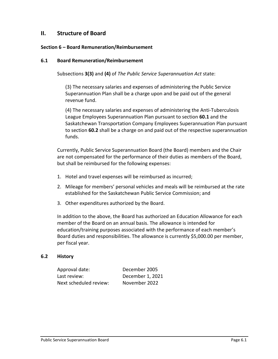# **II. Structure of Board**

### **Section 6 – Board Remuneration/Reimbursement**

### **6.1 Board Remuneration/Reimbursement**

Subsections **3(3)** and **(4)** of *The Public Service Superannuation Act* state:

(3) The necessary salaries and expenses of administering the Public Service Superannuation Plan shall be a charge upon and be paid out of the general revenue fund.

(4) The necessary salaries and expenses of administering the Anti-Tuberculosis League Employees Superannuation Plan pursuant to section **60.1** and the Saskatchewan Transportation Company Employees Superannuation Plan pursuant to section **60.2** shall be a charge on and paid out of the respective superannuation funds.

Currently, Public Service Superannuation Board (the Board) members and the Chair are not compensated for the performance of their duties as members of the Board, but shall be reimbursed for the following expenses:

- 1. Hotel and travel expenses will be reimbursed as incurred;
- 2. Mileage for members' personal vehicles and meals will be reimbursed at the rate established for the Saskatchewan Public Service Commission; and
- 3. Other expenditures authorized by the Board.

In addition to the above, the Board has authorized an Education Allowance for each member of the Board on an annual basis. The allowance is intended for education/training purposes associated with the performance of each member's Board duties and responsibilities. The allowance is currently \$5,000.00 per member, per fiscal year.

### **6.2 History**

| Approval date:         | December 2005    |
|------------------------|------------------|
| Last review:           | December 1, 2021 |
| Next scheduled review: | November 2022    |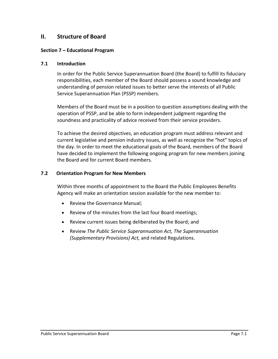# **II. Structure of Board**

### **Section 7 – Educational Program**

### **7.1 Introduction**

In order for the Public Service Superannuation Board (the Board) to fulfill its fiduciary responsibilities, each member of the Board should possess a sound knowledge and understanding of pension related issues to better serve the interests of all Public Service Superannuation Plan (PSSP) members.

Members of the Board must be in a position to question assumptions dealing with the operation of PSSP, and be able to form independent judgment regarding the soundness and practicality of advice received from their service providers.

To achieve the desired objectives, an education program must address relevant and current legislative and pension industry issues, as well as recognize the "hot" topics of the day. In order to meet the educational goals of the Board, members of the Board have decided to implement the following ongoing program for new members joining the Board and for current Board members.

### **7.2 Orientation Program for New Members**

Within three months of appointment to the Board the Public Employees Benefits Agency will make an orientation session available for the new member to:

- Review the Governance Manual;
- Review of the minutes from the last four Board meetings;
- Review current issues being deliberated by the Board; and
- Review *The Public Service Superannuation Act, The Superannuation (Supplementary Provisions) Act,* and related Regulations.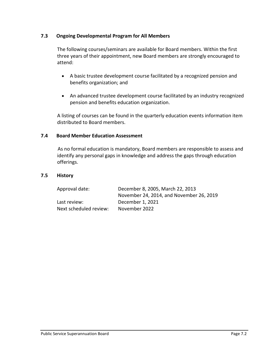### **7.3 Ongoing Developmental Program for All Members**

The following courses/seminars are available for Board members. Within the first three years of their appointment, new Board members are strongly encouraged to attend:

- A basic trustee development course facilitated by a recognized pension and benefits organization; and
- An advanced trustee development course facilitated by an industry recognized pension and benefits education organization.

A listing of courses can be found in the quarterly education events information item distributed to Board members.

### **7.4 Board Member Education Assessment**

As no formal education is mandatory, Board members are responsible to assess and identify any personal gaps in knowledge and address the gaps through education offerings.

### **7.5 History**

| Approval date:         | December 8, 2005, March 22, 2013         |
|------------------------|------------------------------------------|
|                        | November 24, 2014, and November 26, 2019 |
| Last review:           | December 1, 2021                         |
| Next scheduled review: | November 2022                            |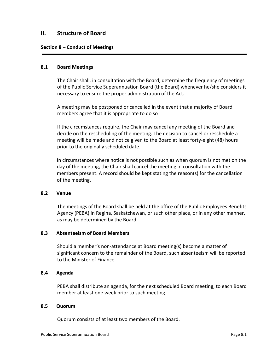## **II. Structure of Board**

### **Section 8 – Conduct of Meetings**

#### **8.1 Board Meetings**

The Chair shall, in consultation with the Board, determine the frequency of meetings of the Public Service Superannuation Board (the Board) whenever he/she considers it necessary to ensure the proper administration of the Act.

A meeting may be postponed or cancelled in the event that a majority of Board members agree that it is appropriate to do so

If the circumstances require, the Chair may cancel any meeting of the Board and decide on the rescheduling of the meeting. The decision to cancel or reschedule a meeting will be made and notice given to the Board at least forty-eight (48) hours prior to the originally scheduled date.

In circumstances where notice is not possible such as when quorum is not met on the day of the meeting, the Chair shall cancel the meeting in consultation with the members present. A record should be kept stating the reason(s) for the cancellation of the meeting.

#### **8.2 Venue**

The meetings of the Board shall be held at the office of the Public Employees Benefits Agency (PEBA) in Regina, Saskatchewan, or such other place, or in any other manner, as may be determined by the Board.

### **8.3 Absenteeism of Board Members**

Should a member's non-attendance at Board meeting(s) become a matter of significant concern to the remainder of the Board, such absenteeism will be reported to the Minister of Finance.

#### **8.4 Agenda**

PEBA shall distribute an agenda, for the next scheduled Board meeting, to each Board member at least one week prior to such meeting.

#### **8.5 Quorum**

Quorum consists of at least two members of the Board.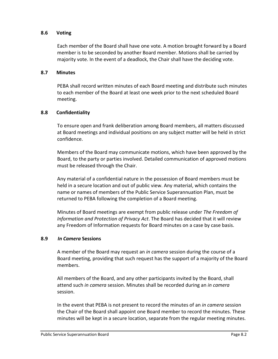### **8.6 Voting**

Each member of the Board shall have one vote. A motion brought forward by a Board member is to be seconded by another Board member. Motions shall be carried by majority vote. In the event of a deadlock, the Chair shall have the deciding vote.

### **8.7 Minutes**

PEBA shall record written minutes of each Board meeting and distribute such minutes to each member of the Board at least one week prior to the next scheduled Board meeting.

### **8.8 Confidentiality**

To ensure open and frank deliberation among Board members, all matters discussed at Board meetings and individual positions on any subject matter will be held in strict confidence.

Members of the Board may communicate motions, which have been approved by the Board, to the party or parties involved. Detailed communication of approved motions must be released through the Chair.

Any material of a confidential nature in the possession of Board members must be held in a secure location and out of public view. Any material, which contains the name or names of members of the Public Service Superannuation Plan, must be returned to PEBA following the completion of a Board meeting.

Minutes of Board meetings are exempt from public release under *The Freedom of Information and Protection of Privacy Act*. The Board has decided that it will review any Freedom of Information requests for Board minutes on a case by case basis.

### **8.9** *In Camera* **Sessions**

A member of the Board may request an *in camera* session during the course of a Board meeting, providing that such request has the support of a majority of the Board members.

All members of the Board, and any other participants invited by the Board, shall attend such *in camera* session. Minutes shall be recorded during an *in camera* session.

In the event that PEBA is not present to record the minutes of an *in camera* session the Chair of the Board shall appoint one Board member to record the minutes. These minutes will be kept in a secure location, separate from the regular meeting minutes.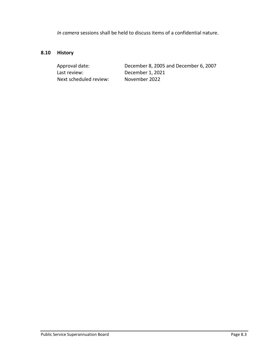*In camera* sessions shall be held to discuss items of a confidential nature.

# **8.10 History**

Last review: December 1, 2021 Next scheduled review: November 2022

Approval date: December 8, 2005 and December 6, 2007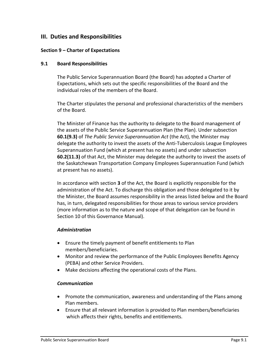## **III. Duties and Responsibilities**

### **Section 9 – Charter of Expectations**

### **9.1 Board Responsibilities**

The Public Service Superannuation Board (the Board) has adopted a Charter of Expectations, which sets out the specific responsibilities of the Board and the individual roles of the members of the Board.

The Charter stipulates the personal and professional characteristics of the members of the Board.

The Minister of Finance has the authority to delegate to the Board management of the assets of the Public Service Superannuation Plan (the Plan). Under subsection **60.1(9.3)** of *The Public Service Superannuation Act* (the Act), the Minister may delegate the authority to invest the assets of the Anti-Tuberculosis League Employees Superannuation Fund (which at present has no assets) and under subsection **60.2(11.3)** of that Act, the Minister may delegate the authority to invest the assets of the Saskatchewan Transportation Company Employees Superannuation Fund (which at present has no assets).

In accordance with section **3** of the Act, the Board is explicitly responsible for the administration of the Act. To discharge this obligation and those delegated to it by the Minister, the Board assumes responsibility in the areas listed below and the Board has, in turn, delegated responsibilities for those areas to various service providers (more information as to the nature and scope of that delegation can be found in Section 10 of this Governance Manual).

### *Administration*

- Ensure the timely payment of benefit entitlements to Plan members/beneficiaries.
- Monitor and review the performance of the Public Employees Benefits Agency (PEBA) and other Service Providers.
- Make decisions affecting the operational costs of the Plans.

### *Communication*

- Promote the communication, awareness and understanding of the Plans among Plan members.
- Ensure that all relevant information is provided to Plan members/beneficiaries which affects their rights, benefits and entitlements.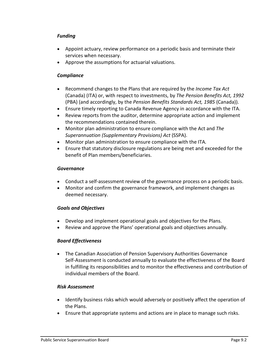### *Funding*

- Appoint actuary, review performance on a periodic basis and terminate their services when necessary.
- Approve the assumptions for actuarial valuations.

## *Compliance*

- Recommend changes to the Plans that are required by the *Income Tax Act*  (Canada) (ITA) or, with respect to investments, by *The Pension Benefits Act, 1992* (PBA) (and accordingly, by the *Pension Benefits Standards Act, 1985* (Canada)).
- Ensure timely reporting to Canada Revenue Agency in accordance with the ITA.
- Review reports from the auditor, determine appropriate action and implement the recommendations contained therein.
- Monitor plan administration to ensure compliance with the Act and *The Superannuation (Supplementary Provisions) Act* (SSPA).
- Monitor plan administration to ensure compliance with the ITA*.*
- Ensure that statutory disclosure regulations are being met and exceeded for the benefit of Plan members/beneficiaries.

## *Governance*

- Conduct a self-assessment review of the governance process on a periodic basis.
- Monitor and confirm the governance framework, and implement changes as deemed necessary.

## *Goals and Objectives*

- Develop and implement operational goals and objectives for the Plans.
- Review and approve the Plans' operational goals and objectives annually.

# *Board Effectiveness*

• The Canadian Association of Pension Supervisory Authorities Governance Self-Assessment is conducted annually to evaluate the effectiveness of the Board in fulfilling its responsibilities and to monitor the effectiveness and contribution of individual members of the Board.

## *Risk Assessment*

- Identify business risks which would adversely or positively affect the operation of the Plans.
- Ensure that appropriate systems and actions are in place to manage such risks.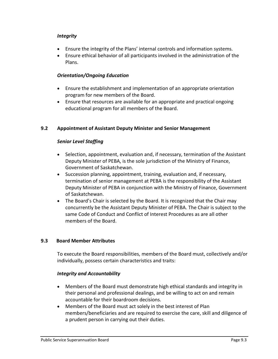### *Integrity*

- Ensure the integrity of the Plans' internal controls and information systems.
- Ensure ethical behavior of all participants involved in the administration of the Plans.

### *Orientation/Ongoing Education*

- Ensure the establishment and implementation of an appropriate orientation program for new members of the Board.
- Ensure that resources are available for an appropriate and practical ongoing educational program for all members of the Board.

### **9.2 Appointment of Assistant Deputy Minister and Senior Management**

### *Senior Level Staffing*

- Selection, appointment, evaluation and, if necessary, termination of the Assistant Deputy Minister of PEBA, is the sole jurisdiction of the Ministry of Finance, Government of Saskatchewan.
- Succession planning, appointment, training, evaluation and, if necessary, termination of senior management at PEBA is the responsibility of the Assistant Deputy Minister of PEBA in conjunction with the Ministry of Finance, Government of Saskatchewan.
- The Board's Chair is selected by the Board. It is recognized that the Chair may concurrently be the Assistant Deputy Minister of PEBA. The Chair is subject to the same Code of Conduct and Conflict of Interest Procedures as are all other members of the Board.

## **9.3 Board Member Attributes**

To execute the Board responsibilities, members of the Board must, collectively and/or individually, possess certain characteristics and traits:

### *Integrity and Accountability*

- Members of the Board must demonstrate high ethical standards and integrity in their personal and professional dealings, and be willing to act on and remain accountable for their boardroom decisions.
- Members of the Board must act solely in the best interest of Plan members/beneficiaries and are required to exercise the care, skill and diligence of a prudent person in carrying out their duties.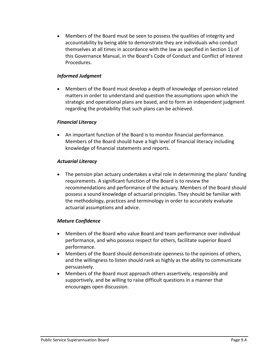• Members of the Board must be seen to possess the qualities of integrity and accountability by being able to demonstrate they are individuals who conduct themselves at all times in accordance with the law as specified in Section 11 of this Governance Manual, in the Board's Code of Conduct and Conflict of Interest Procedures.

### *Informed Judgment*

• Members of the Board must develop a depth of knowledge of pension related matters in order to understand and question the assumptions upon which the strategic and operational plans are based, and to form an independent judgment regarding the probability that such plans can be achieved.

### *Financial Literacy*

• An important function of the Board is to monitor financial performance. Members of the Board should have a high level of financial literacy including knowledge of financial statements and reports.

### *Actuarial Literacy*

• The pension plan actuary undertakes a vital role in determining the plans' funding requirements. A significant function of the Board is to review the recommendations and performance of the actuary. Members of the Board should possess a sound knowledge of actuarial principles. They should be familiar with the methodology, practices and terminology in order to accurately evaluate actuarial assumptions and advice.

## *Mature Confidence*

- Members of the Board who value Board and team performance over individual performance, and who possess respect for others, facilitate superior Board performance.
- Members of the Board should demonstrate openness to the opinions of others, and the willingness to listen should rank as highly as the ability to communicate persuasively.
- Members of the Board must approach others assertively, responsibly and supportively, and be willing to raise difficult questions in a manner that encourages open discussion.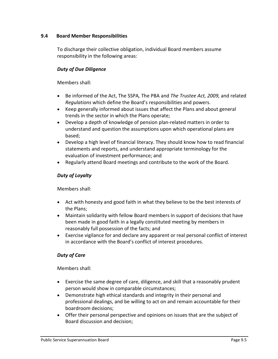### **9.4 Board Member Responsibilities**

To discharge their collective obligation, individual Board members assume responsibility in the following areas:

### *Duty of Due Diligence*

Members shall:

- Be informed of the Act, The SSPA*,* The PBA and *The Trustee Act, 2009,* and related *Regulations* which define the Board's responsibilities and powers.
- Keep generally informed about issues that affect the Plans and about general trends in the sector in which the Plans operate;
- Develop a depth of knowledge of pension plan-related matters in order to understand and question the assumptions upon which operational plans are based;
- Develop a high level of financial literacy. They should know how to read financial statements and reports, and understand appropriate terminology for the evaluation of investment performance; and
- Regularly attend Board meetings and contribute to the work of the Board.

### *Duty of Loyalty*

Members shall:

- Act with honesty and good faith in what they believe to be the best interests of the Plans;
- Maintain solidarity with fellow Board members in support of decisions that have been made in good faith in a legally constituted meeting by members in reasonably full possession of the facts; and
- Exercise vigilance for and declare any apparent or real personal conflict of interest in accordance with the Board's conflict of interest procedures.

## *Duty of Care*

Members shall:

- Exercise the same degree of care, diligence, and skill that a reasonably prudent person would show in comparable circumstances;
- Demonstrate high ethical standards and integrity in their personal and professional dealings, and be willing to act on and remain accountable for their boardroom decisions;
- Offer their personal perspective and opinions on issues that are the subject of Board discussion and decision;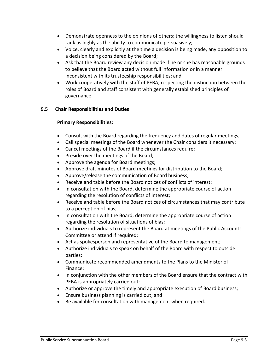- Demonstrate openness to the opinions of others; the willingness to listen should rank as highly as the ability to communicate persuasively;
- Voice, clearly and explicitly at the time a decision is being made, any opposition to a decision being considered by the Board;
- Ask that the Board review any decision made if he or she has reasonable grounds to believe that the Board acted without full information or in a manner inconsistent with its trusteeship responsibilities; and
- Work cooperatively with the staff of PEBA, respecting the distinction between the roles of Board and staff consistent with generally established principles of governance.

### **9.5 Chair Responsibilities and Duties**

### **Primary Responsibilities:**

- Consult with the Board regarding the frequency and dates of regular meetings;
- Call special meetings of the Board whenever the Chair considers it necessary;
- Cancel meetings of the Board if the circumstances require;
- Preside over the meetings of the Board;
- Approve the agenda for Board meetings;
- Approve draft minutes of Board meetings for distribution to the Board;
- Approve/release the communication of Board business;
- Receive and table before the Board notices of conflicts of interest;
- In consultation with the Board, determine the appropriate course of action regarding the resolution of conflicts of interest;
- Receive and table before the Board notices of circumstances that may contribute to a perception of bias;
- In consultation with the Board, determine the appropriate course of action regarding the resolution of situations of bias;
- Authorize individuals to represent the Board at meetings of the Public Accounts Committee or attend if required;
- Act as spokesperson and representative of the Board to management;
- Authorize individuals to speak on behalf of the Board with respect to outside parties;
- Communicate recommended amendments to the Plans to the Minister of Finance;
- In conjunction with the other members of the Board ensure that the contract with PEBA is appropriately carried out;
- Authorize or approve the timely and appropriate execution of Board business;
- Ensure business planning is carried out; and
- Be available for consultation with management when required.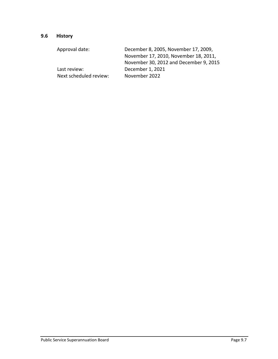# **9.6 History**

| December 8, 2005, November 17, 2009,   |
|----------------------------------------|
| November 17, 2010, November 18, 2011,  |
| November 30, 2012 and December 9, 2015 |
| December 1, 2021                       |
| November 2022                          |
|                                        |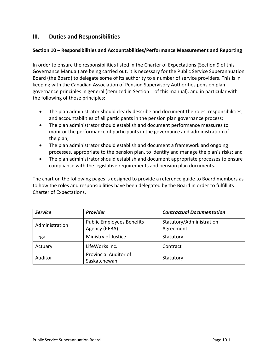# **III. Duties and Responsibilities**

### **Section 10 – Responsibilities and Accountabilities/Performance Measurement and Reporting**

In order to ensure the responsibilities listed in the Charter of Expectations (Section 9 of this Governance Manual) are being carried out, it is necessary for the Public Service Superannuation Board (the Board) to delegate some of its authority to a number of service providers. This is in keeping with the Canadian Association of Pension Supervisory Authorities pension plan governance principles in general (itemized in Section 1 of this manual), and in particular with the following of those principles:

- The plan administrator should clearly describe and document the roles, responsibilities, and accountabilities of all participants in the pension plan governance process;
- The plan administrator should establish and document performance measures to monitor the performance of participants in the governance and administration of the plan;
- The plan administrator should establish and document a framework and ongoing processes, appropriate to the pension plan, to identify and manage the plan's risks; and
- The plan administrator should establish and document appropriate processes to ensure compliance with the legislative requirements and pension plan documents.

The chart on the following pages is designed to provide a reference guide to Board members as to how the roles and responsibilities have been delegated by the Board in order to fulfill its Charter of Expectations.

| <b>Service</b> | Provider                                          | <b>Contractual Documentation</b>      |
|----------------|---------------------------------------------------|---------------------------------------|
| Administration | <b>Public Employees Benefits</b><br>Agency (PEBA) | Statutory/Administration<br>Agreement |
| Legal          | Ministry of Justice                               | Statutory                             |
| Actuary        | LifeWorks Inc.                                    | Contract                              |
| Auditor        | <b>Provincial Auditor of</b><br>Saskatchewan      | Statutory                             |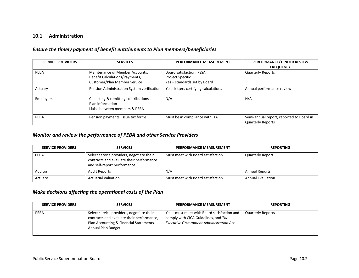### **10.1 Administration**

### *Ensure the timely payment of benefit entitlements to Plan members/beneficiaries*

| <b>SERVICE PROVIDERS</b> | <b>SERVICES</b>                                                                                   | <b>PERFORMANCE MEASUREMENT</b>                                               | PERFORMANCE/TENDER REVIEW<br><b>FREQUENCY</b>                        |
|--------------------------|---------------------------------------------------------------------------------------------------|------------------------------------------------------------------------------|----------------------------------------------------------------------|
| PEBA                     | Maintenance of Member Accounts,<br>Benefit Calculations/Payments,<br>Customer/Plan Member Service | Board satisfaction, PSSA<br>Project Specific<br>Yes - standards set by Board | <b>Quarterly Reports</b>                                             |
| Actuary                  | Pension Administration System verification                                                        | Yes - letters certifying calculations                                        | Annual performance review                                            |
| <b>Employers</b>         | Collecting & remitting contributions<br>Plan information<br>Liaise between members & PEBA         | N/A                                                                          | N/A                                                                  |
| PEBA                     | Pension payments, issue tax forms                                                                 | Must be in compliance with ITA                                               | Semi-annual report, reported to Board in<br><b>Quarterly Reports</b> |

### *Monitor and review the performance of PEBA and other Service Providers*

| <b>SERVICE PROVIDERS</b> | <b>SERVICES</b>                                                                                                      | <b>PERFORMANCE MEASUREMENT</b>    | <b>REPORTING</b>         |
|--------------------------|----------------------------------------------------------------------------------------------------------------------|-----------------------------------|--------------------------|
| PEBA                     | Select service providers, negotiate their<br>contracts and evaluate their performance<br>and self-report performance | Must meet with Board satisfaction | <b>Quarterly Report</b>  |
| Auditor                  | <b>Audit Reports</b>                                                                                                 | N/A                               | <b>Annual Reports</b>    |
| Actuary                  | <b>Actuarial Valuation</b>                                                                                           | Must meet with Board satisfaction | <b>Annual Evaluation</b> |

### *Make decisions affecting the operational costs of the Plan*

| <b>SERVICE PROVIDERS</b> | <b>SERVICES</b>                                                                                                                                          | <b>PERFORMANCE MEASUREMENT</b>                                                                                                        | <b>REPORTING</b>         |
|--------------------------|----------------------------------------------------------------------------------------------------------------------------------------------------------|---------------------------------------------------------------------------------------------------------------------------------------|--------------------------|
| <b>PEBA</b>              | Select service providers, negotiate their<br>contracts and evaluate their performance,<br>Plan Accounting & Financial Statements,<br>Annual Plan Budget. | Yes – must meet with Board satisfaction and<br>comply with CICA Guidelines, and The<br><b>Executive Government Administration Act</b> | <b>Quarterly Reports</b> |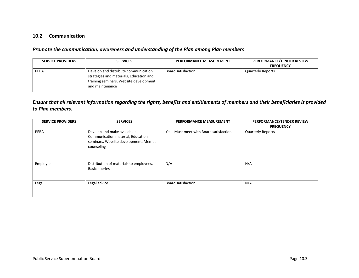### **10.2 Communication**

### *Promote the communication, awareness and understanding of the Plan among Plan members*

| <b>SERVICE PROVIDERS</b> | <b>SERVICES</b>                                                                                                                              | PERFORMANCE MEASUREMENT | PERFORMANCE/TENDER REVIEW<br><b>FREQUENCY</b> |
|--------------------------|----------------------------------------------------------------------------------------------------------------------------------------------|-------------------------|-----------------------------------------------|
| PEBA                     | Develop and distribute communication<br>strategies and materials, Education and<br>training seminars, Website development<br>and maintenance | Board satisfaction      | <b>Quarterly Reports</b>                      |

### *Ensure that all relevant information regarding the rights, benefits and entitlements of members and their beneficiaries is provided to Plan members.*

| <b>SERVICE PROVIDERS</b> | <b>SERVICES</b>                                                                                                         | PERFORMANCE MEASUREMENT                 | PERFORMANCE/TENDER REVIEW<br><b>FREQUENCY</b> |
|--------------------------|-------------------------------------------------------------------------------------------------------------------------|-----------------------------------------|-----------------------------------------------|
| PEBA                     | Develop and make available:<br>Communication material, Education<br>seminars, Website development, Member<br>counseling | Yes - Must meet with Board satisfaction | <b>Quarterly Reports</b>                      |
| Employer                 | Distribution of materials to employees,<br><b>Basic queries</b>                                                         | N/A                                     | N/A                                           |
| Legal                    | Legal advice                                                                                                            | <b>Board satisfaction</b>               | N/A                                           |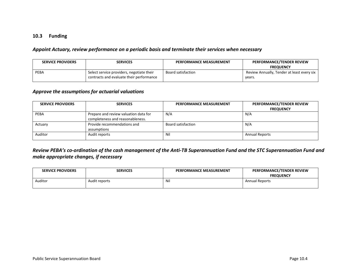### **10.3 Funding**

#### *Appoint Actuary, review performance on a periodic basis and terminate their services when necessary*

| <b>SERVICE PROVIDERS</b> | <b>SERVICES</b>                                                                       | PERFORMANCE MEASUREMENT | PERFORMANCE/TENDER REVIEW<br><b>FREQUENCY</b>        |
|--------------------------|---------------------------------------------------------------------------------------|-------------------------|------------------------------------------------------|
| PEBA                     | Select service providers, negotiate their<br>contracts and evaluate their performance | Board satisfaction      | Review Annually, Tender at least every six<br>vears. |

#### *Approve the assumptions for actuarial valuations*

| <b>SERVICE PROVIDERS</b> | <b>SERVICES</b>                       | <b>PERFORMANCE MEASUREMENT</b> | PERFORMANCE/TENDER REVIEW |
|--------------------------|---------------------------------------|--------------------------------|---------------------------|
|                          |                                       |                                | <b>FREQUENCY</b>          |
| PEBA                     | Prepare and review valuation data for | N/A                            | N/A                       |
|                          | completeness and reasonableness.      |                                |                           |
| Actuary                  | Provide recommendations and           | Board satisfaction             | N/A                       |
|                          | assumptions                           |                                |                           |
| Auditor                  | Audit reports                         | Nil                            | <b>Annual Reports</b>     |
|                          |                                       |                                |                           |

### *Review PEBA's co-ordination of the cash management of the Anti-TB Superannuation Fund and the STC Superannuation Fund and make appropriate changes, if necessary*

| <b>SERVICE PROVIDERS</b> | <b>SERVICES</b> | PERFORMANCE MEASUREMENT | PERFORMANCE/TENDER REVIEW<br><b>FREOUENCY</b> |
|--------------------------|-----------------|-------------------------|-----------------------------------------------|
| Auditor                  | Audit reports   | NI.                     | <b>Annual Reports</b>                         |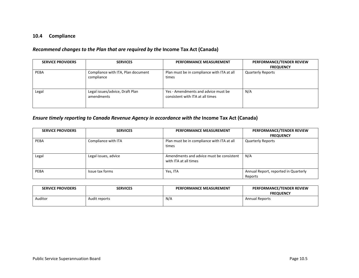### **10.4 Compliance**

### *Recommend changes to the Plan that are required by the* **Income Tax Act (Canada)**

| <b>SERVICE PROVIDERS</b> | <b>SERVICES</b>                                  | <b>PERFORMANCE MEASUREMENT</b>                                          | PERFORMANCE/TENDER REVIEW |
|--------------------------|--------------------------------------------------|-------------------------------------------------------------------------|---------------------------|
|                          |                                                  |                                                                         | <b>FREQUENCY</b>          |
| PEBA                     | Compliance with ITA, Plan document<br>compliance | Plan must be in compliance with ITA at all<br>times                     | <b>Quarterly Reports</b>  |
| Legal                    | Legal issues/advice, Draft Plan<br>amendments    | Yes - Amendments and advice must be<br>consistent with ITA at all times | N/A                       |

### *Ensure timely reporting to Canada Revenue Agency in accordance with the* **Income Tax Act (Canada)**

| <b>SERVICE PROVIDERS</b> | <b>SERVICES</b>      | PERFORMANCE MEASUREMENT                                           | PERFORMANCE/TENDER REVIEW<br><b>FREQUENCY</b>   |
|--------------------------|----------------------|-------------------------------------------------------------------|-------------------------------------------------|
| <b>PEBA</b>              | Compliance with ITA  | Plan must be in compliance with ITA at all<br>times               | <b>Quarterly Reports</b>                        |
| Legal                    | Legal issues, advice | Amendments and advice must be consistent<br>with ITA at all times | N/A                                             |
| <b>PEBA</b>              | Issue tax forms      | Yes, ITA                                                          | Annual Report, reported in Quarterly<br>Reports |

| <b>SERVICE PROVIDERS</b> | <b>SERVICES</b> | <b>PERFORMANCE MEASUREMENT</b> | PERFORMANCE/TENDER REVIEW<br><b>FREQUENCY</b> |
|--------------------------|-----------------|--------------------------------|-----------------------------------------------|
| Auditor                  | Audit reports   | N/A                            | <b>Annual Reports</b>                         |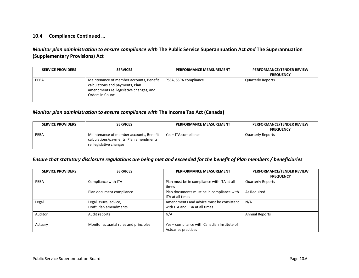### **10.4 Compliance Continued …**

### *Monitor plan administration to ensure compliance with* **The Public Service Superannuation Act** *and* **The Superannuation (Supplementary Provisions) Act**

| <b>SERVICE PROVIDERS</b> | <b>SERVICES</b>                                                                                                                            | <b>PERFORMANCE MEASUREMENT</b> | PERFORMANCE/TENDER REVIEW |
|--------------------------|--------------------------------------------------------------------------------------------------------------------------------------------|--------------------------------|---------------------------|
|                          |                                                                                                                                            |                                | <b>FREQUENCY</b>          |
| <b>PEBA</b>              | Maintenance of member accounts, Benefit<br>calculations and payments, Plan<br>amendments re. legislative changes, and<br>Orders in Council | PSSA, SSPA compliance          | <b>Quarterly Reports</b>  |

### *Monitor plan administration to ensure compliance with* **The Income Tax Act (Canada)**

| <b>SERVICE PROVIDERS</b> | <b>SERVICES</b>                                                                                              | <b>PERFORMANCE MEASUREMENT</b> | PERFORMANCE/TENDER REVIEW |
|--------------------------|--------------------------------------------------------------------------------------------------------------|--------------------------------|---------------------------|
|                          |                                                                                                              |                                | <b>FREQUENCY</b>          |
| PEBA                     | Maintenance of member accounts, Benefit<br>calculations/payments, Plan amendments<br>re. legislative changes | Yes - ITA compliance           | <b>Quarterly Reports</b>  |

#### *Ensure that statutory disclosure regulations are being met and exceeded for the benefit of Plan members / beneficiaries*

| <b>SERVICE PROVIDERS</b> | <b>SERVICES</b>                                | <b>PERFORMANCE MEASUREMENT</b>                                            | PERFORMANCE/TENDER REVIEW<br><b>FREQUENCY</b> |
|--------------------------|------------------------------------------------|---------------------------------------------------------------------------|-----------------------------------------------|
| PEBA                     | Compliance with ITA                            | Plan must be in compliance with ITA at all<br>times                       | <b>Quarterly Reports</b>                      |
|                          | Plan document compliance                       | Plan documents must be in compliance with<br>ITA at all times             | As Required                                   |
| Legal                    | Legal issues, advice,<br>Draft Plan amendments | Amendments and advice must be consistent<br>with ITA and PBA at all times | N/A                                           |
| Auditor                  | Audit reports                                  | N/A                                                                       | <b>Annual Reports</b>                         |
| Actuary                  | Monitor actuarial rules and principles         | Yes - compliance with Canadian Institute of<br>Actuaries practices        |                                               |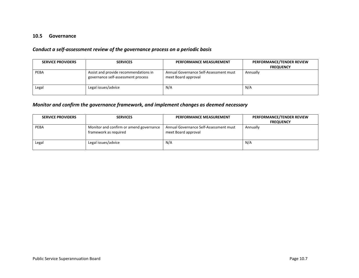### **10.5 Governance**

### *Conduct a self-assessment review of the governance process on a periodic basis*

| <b>SERVICE PROVIDERS</b> | <b>SERVICES</b>                                                             | PERFORMANCE MEASUREMENT                                       | PERFORMANCE/TENDER REVIEW |
|--------------------------|-----------------------------------------------------------------------------|---------------------------------------------------------------|---------------------------|
|                          |                                                                             |                                                               | <b>FREQUENCY</b>          |
| <b>PEBA</b>              | Assist and provide recommendations in<br>governance self-assessment process | Annual Governance Self-Assessment must<br>meet Board approval | Annually                  |
| Legal                    | Legal issues/advice                                                         | N/A                                                           | N/A                       |

### *Monitor and confirm the governance framework, and implement changes as deemed necessary*

| <b>SERVICE PROVIDERS</b> | <b>SERVICES</b>                                                  | <b>PERFORMANCE MEASUREMENT</b>                                | PERFORMANCE/TENDER REVIEW<br><b>FREQUENCY</b> |
|--------------------------|------------------------------------------------------------------|---------------------------------------------------------------|-----------------------------------------------|
| PEBA                     | Monitor and confirm or amend governance<br>framework as required | Annual Governance Self-Assessment must<br>meet Board approval | Annually                                      |
| Legal                    | Legal issues/advice                                              | N/A                                                           | N/A                                           |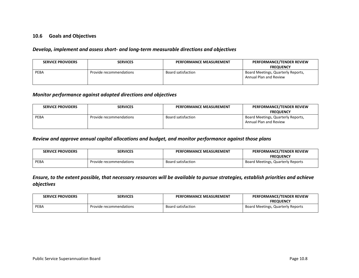### **10.6 Goals and Objectives**

#### *Develop, implement and assess short- and long-term measurable directions and objectives*

| <b>SERVICE PROVIDERS</b> | <b>SERVICES</b>         | <b>PERFORMANCE MEASUREMENT</b> | PERFORMANCE/TENDER REVIEW<br><b>FREQUENCY</b>                |
|--------------------------|-------------------------|--------------------------------|--------------------------------------------------------------|
| PEBA                     | Provide recommendations | <b>Board satisfaction</b>      | Board Meetings, Quarterly Reports,<br>Annual Plan and Review |

#### *Monitor performance against adopted directions and objectives*

| <b>SERVICE PROVIDERS</b> | <b>SERVICES</b>         | PERFORMANCE MEASUREMENT   | PERFORMANCE/TENDER REVIEW                                    |
|--------------------------|-------------------------|---------------------------|--------------------------------------------------------------|
|                          |                         |                           | <b>FREQUENCY</b>                                             |
| PEBA                     | Provide recommendations | <b>Board satisfaction</b> | Board Meetings, Quarterly Reports,<br>Annual Plan and Review |

#### *Review and approve annual capital allocations and budget, and monitor performance against those plans*

| <b>SERVICE PROVIDERS</b> | <b>SERVICES</b>         | <b>PERFORMANCE MEASUREMENT</b> | <b>PERFORMANCE/TENDER REVIEW</b>  |
|--------------------------|-------------------------|--------------------------------|-----------------------------------|
|                          |                         |                                | <b>FREQUENCY</b>                  |
| PEBA                     | Provide recommendations | <b>Board satisfaction</b>      | Board Meetings, Quarterly Reports |

### *Ensure, to the extent possible, that necessary resources will be available to pursue strategies, establish priorities and achieve objectives*

| <b>SERVICE PROVIDERS</b> | SERVICES                | <b>PERFORMANCE MEASUREMENT</b> | <b>PERFORMANCE/TENDER REVIEW</b>  |
|--------------------------|-------------------------|--------------------------------|-----------------------------------|
|                          |                         |                                | <b>FREOUENCY</b>                  |
| PEBA                     | Provide recommendations | Board satisfaction             | Board Meetings, Quarterly Reports |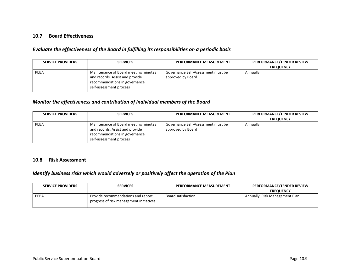### **10.7 Board Effectiveness**

### *Evaluate the effectiveness of the Board in fulfilling its responsibilities on a periodic basis*

| <b>SERVICE PROVIDERS</b> | <b>SERVICES</b>                                                                                                                     | <b>PERFORMANCE MEASUREMENT</b>                          | PERFORMANCE/TENDER REVIEW<br><b>FREQUENCY</b> |
|--------------------------|-------------------------------------------------------------------------------------------------------------------------------------|---------------------------------------------------------|-----------------------------------------------|
| PEBA                     | Maintenance of Board meeting minutes<br>and records, Assist and provide<br>recommendations in governance<br>self-assessment process | Governance Self-Assessment must be<br>approved by Board | Annually                                      |

#### *Monitor the effectiveness and contribution of individual members of the Board*

| <b>SERVICE PROVIDERS</b> | <b>SERVICES</b>                                                                                                                     | PERFORMANCE MEASUREMENT                                 | PERFORMANCE/TENDER REVIEW |
|--------------------------|-------------------------------------------------------------------------------------------------------------------------------------|---------------------------------------------------------|---------------------------|
|                          |                                                                                                                                     |                                                         | <b>FREQUENCY</b>          |
| PEBA                     | Maintenance of Board meeting minutes<br>and records, Assist and provide<br>recommendations in governance<br>self-assessment process | Governance Self-Assessment must be<br>approved by Board | Annually                  |

#### **10.8 Risk Assessment**

### *Identify business risks which would adversely or positively affect the operation of the Plan*

| <b>SERVICE PROVIDERS</b> | <b>SERVICES</b>                                                               | <b>PERFORMANCE MEASUREMENT</b> | PERFORMANCE/TENDER REVIEW      |
|--------------------------|-------------------------------------------------------------------------------|--------------------------------|--------------------------------|
|                          |                                                                               |                                | <b>FREQUENCY</b>               |
| <b>PEBA</b>              | Provide recommendations and report<br>progress of risk management initiatives | Board satisfaction             | Annually, Risk Management Plan |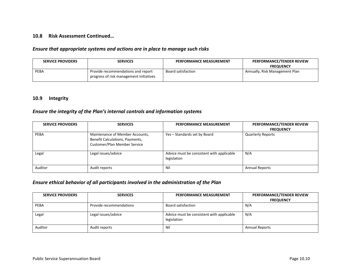### **10.8 Risk Assessment Continued…**

#### *Ensure that appropriate systems and actions are in place to manage such risks*

| <b>SERVICE PROVIDERS</b> | <b>SERVICES</b>                                                               | PERFORMANCE MEASUREMENT | <b>PERFORMANCE/TENDER REVIEW</b><br><b>FREQUENCY</b> |
|--------------------------|-------------------------------------------------------------------------------|-------------------------|------------------------------------------------------|
| PEBA                     | Provide recommendations and report<br>progress of risk management initiatives | Board satisfaction      | Annually, Risk Management Plan                       |

#### **10.9 Integrity**

# *Ensure the integrity of the Plan's internal controls and information systems*

| <b>SERVICE PROVIDERS</b> | <b>SERVICES</b>                                                                                    | PERFORMANCE MEASUREMENT                                  | PERFORMANCE/TENDER REVIEW<br><b>FREQUENCY</b> |
|--------------------------|----------------------------------------------------------------------------------------------------|----------------------------------------------------------|-----------------------------------------------|
| PEBA                     | Maintenance of Member Accounts,<br>Benefit Calculations, Payments,<br>Customer/Plan Member Service | Yes – Standards set by Board                             | <b>Quarterly Reports</b>                      |
| Legal                    | Legal issues/advice                                                                                | Advice must be consistent with applicable<br>legislation | N/A                                           |
| Auditor                  | Audit reports                                                                                      | Nil                                                      | <b>Annual Reports</b>                         |

### *Ensure ethical behavior of all participants involved in the administration of the Plan*

| <b>SERVICE PROVIDERS</b> | <b>SERVICES</b>         | <b>PERFORMANCE MEASUREMENT</b>                           | PERFORMANCE/TENDER REVIEW<br><b>FREQUENCY</b> |
|--------------------------|-------------------------|----------------------------------------------------------|-----------------------------------------------|
| PEBA                     | Provide recommendations | <b>Board satisfaction</b>                                | N/A                                           |
| Legal                    | Legal issues/advice     | Advice must be consistent with applicable<br>legislation | N/A                                           |
| Auditor                  | Audit reports           | Nil                                                      | <b>Annual Reports</b>                         |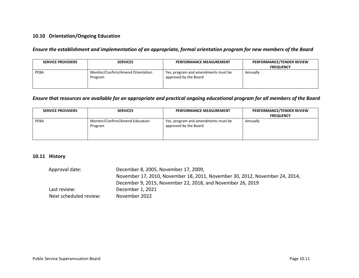### **10.10 Orientation/Ongoing Education**

### *Ensure the establishment and implementation of an appropriate, formal orientation program for new members of the Board*

| <b>SERVICE PROVIDERS</b> | <b>SERVICES</b>                              | PERFORMANCE MEASUREMENT                                      | PERFORMANCE/TENDER REVIEW<br><b>FREQUENCY</b> |
|--------------------------|----------------------------------------------|--------------------------------------------------------------|-----------------------------------------------|
| PEBA                     | Monitor/Confirm/Amend Orientation<br>Program | Yes, program and amendments must be<br>approved by the Board | Annually                                      |

### *Ensure that resources are available for an appropriate and practical ongoing educational program for all members of the Board*

| <b>SERVICE PROVIDERS</b> | <b>SERVICES</b>                            | <b>PERFORMANCE MEASUREMENT</b>                               | PERFORMANCE/TENDER REVIEW<br><b>FREQUENCY</b> |
|--------------------------|--------------------------------------------|--------------------------------------------------------------|-----------------------------------------------|
| <b>PEBA</b>              | Monitor/Confirm/Amend Education<br>Program | Yes, program and amendments must be<br>approved by the Board | Annually                                      |

### **10.11 History**

| Approval date:         | December 8, 2005, November 17, 2009,                                        |
|------------------------|-----------------------------------------------------------------------------|
|                        | November 17, 2010, November 18, 2011, November 30, 2012, November 24, 2014, |
|                        | December 9, 2015, November 22, 2018, and November 26, 2019                  |
| Last review:           | December 1, 2021                                                            |
| Next scheduled review: | November 2022                                                               |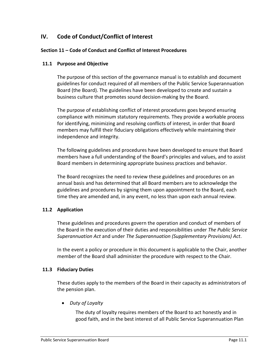# **IV. Code of Conduct/Conflict of Interest**

### **Section 11 – Code of Conduct and Conflict of Interest Procedures**

### **11.1 Purpose and Objective**

The purpose of this section of the governance manual is to establish and document guidelines for conduct required of all members of the Public Service Superannuation Board (the Board). The guidelines have been developed to create and sustain a business culture that promotes sound decision-making by the Board.

The purpose of establishing conflict of interest procedures goes beyond ensuring compliance with minimum statutory requirements. They provide a workable process for identifying, minimizing and resolving conflicts of interest, in order that Board members may fulfill their fiduciary obligations effectively while maintaining their independence and integrity.

The following guidelines and procedures have been developed to ensure that Board members have a full understanding of the Board's principles and values, and to assist Board members in determining appropriate business practices and behavior.

The Board recognizes the need to review these guidelines and procedures on an annual basis and has determined that all Board members are to acknowledge the guidelines and procedures by signing them upon appointment to the Board, each time they are amended and, in any event, no less than upon each annual review.

### **11.2 Application**

These guidelines and procedures govern the operation and conduct of members of the Board in the execution of their duties and responsibilities under *The Public Service Superannuation Act* and under *The Superannuation (Supplementary Provisions) Act*.

In the event a policy or procedure in this document is applicable to the Chair, another member of the Board shall administer the procedure with respect to the Chair.

### **11.3 Fiduciary Duties**

These duties apply to the members of the Board in their capacity as administrators of the pension plan.

• *Duty of Loyalty*

The duty of loyalty requires members of the Board to act honestly and in good faith, and in the best interest of all Public Service Superannuation Plan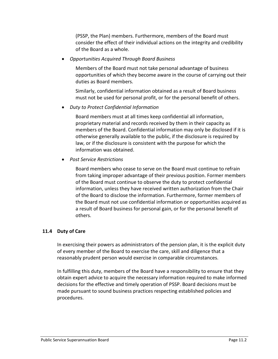(PSSP, the Plan) members. Furthermore, members of the Board must consider the effect of their individual actions on the integrity and credibility of the Board as a whole.

• *Opportunities Acquired Through Board Business*

Members of the Board must not take personal advantage of business opportunities of which they become aware in the course of carrying out their duties as Board members.

Similarly, confidential information obtained as a result of Board business must not be used for personal profit, or for the personal benefit of others.

• *Duty to Protect Confidential Information* 

Board members must at all times keep confidential all information, proprietary material and records received by them in their capacity as members of the Board. Confidential information may only be disclosed if it is otherwise generally available to the public, if the disclosure is required by law, or if the disclosure is consistent with the purpose for which the information was obtained.

• *Post Service Restrictions*

Board members who cease to serve on the Board must continue to refrain from taking improper advantage of their previous position. Former members of the Board must continue to observe the duty to protect confidential information, unless they have received written authorization from the Chair of the Board to disclose the information. Furthermore, former members of the Board must not use confidential information or opportunities acquired as a result of Board business for personal gain, or for the personal benefit of others.

### **11.4 Duty of Care**

In exercising their powers as administrators of the pension plan, it is the explicit duty of every member of the Board to exercise the care, skill and diligence that a reasonably prudent person would exercise in comparable circumstances.

In fulfilling this duty, members of the Board have a responsibility to ensure that they obtain expert advice to acquire the necessary information required to make informed decisions for the effective and timely operation of PSSP. Board decisions must be made pursuant to sound business practices respecting established policies and procedures.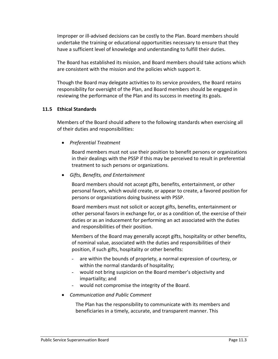Improper or ill-advised decisions can be costly to the Plan. Board members should undertake the training or educational opportunities necessary to ensure that they have a sufficient level of knowledge and understanding to fulfill their duties.

The Board has established its mission, and Board members should take actions which are consistent with the mission and the policies which support it.

Though the Board may delegate activities to its service providers, the Board retains responsibility for oversight of the Plan, and Board members should be engaged in reviewing the performance of the Plan and its success in meeting its goals.

### **11.5 Ethical Standards**

Members of the Board should adhere to the following standards when exercising all of their duties and responsibilities:

• *Preferential Treatment*

Board members must not use their position to benefit persons or organizations in their dealings with the PSSP if this may be perceived to result in preferential treatment to such persons or organizations.

• *Gifts, Benefits, and Entertainment*

Board members should not accept gifts, benefits, entertainment, or other personal favors, which would create, or appear to create, a favored position for persons or organizations doing business with PSSP.

Board members must not solicit or accept gifts, benefits, entertainment or other personal favors in exchange for, or as a condition of, the exercise of their duties or as an inducement for performing an act associated with the duties and responsibilities of their position.

Members of the Board may generally accept gifts, hospitality or other benefits, of nominal value, associated with the duties and responsibilities of their position, if such gifts, hospitality or other benefits:

- are within the bounds of propriety, a normal expression of courtesy, or within the normal standards of hospitality;
- would not bring suspicion on the Board member's objectivity and impartiality; and
- would not compromise the integrity of the Board.
- *Communication and Public Comment*

The Plan has the responsibility to communicate with its members and beneficiaries in a timely, accurate, and transparent manner. This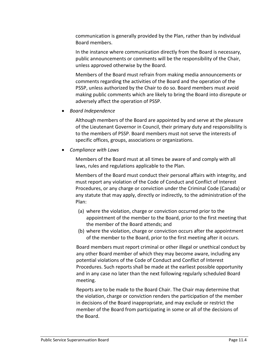communication is generally provided by the Plan, rather than by individual Board members.

In the instance where communication directly from the Board is necessary, public announcements or comments will be the responsibility of the Chair, unless approved otherwise by the Board.

Members of the Board must refrain from making media announcements or comments regarding the activities of the Board and the operation of the PSSP, unless authorized by the Chair to do so. Board members must avoid making public comments which are likely to bring the Board into disrepute or adversely affect the operation of PSSP.

• *Board Independence*

Although members of the Board are appointed by and serve at the pleasure of the Lieutenant Governor in Council, their primary duty and responsibility is to the members of PSSP. Board members must not serve the interests of specific offices, groups, associations or organizations.

• *Compliance with Laws*

Members of the Board must at all times be aware of and comply with all laws, rules and regulations applicable to the Plan.

Members of the Board must conduct their personal affairs with integrity, and must report any violation of the Code of Conduct and Conflict of Interest Procedures, or any charge or conviction under the Criminal Code (Canada) or any statute that may apply, directly or indirectly, to the administration of the Plan:

- (a) where the violation, charge or conviction occurred prior to the appointment of the member to the Board, prior to the first meeting that the member of the Board attends; and
- (b) where the violation, charge or conviction occurs after the appointment of the member to the Board, prior to the first meeting after it occurs.

Board members must report criminal or other illegal or unethical conduct by any other Board member of which they may become aware, including any potential violations of the Code of Conduct and Conflict of Interest Procedures. Such reports shall be made at the earliest possible opportunity and in any case no later than the next following regularly scheduled Board meeting.

Reports are to be made to the Board Chair. The Chair may determine that the violation, charge or conviction renders the participation of the member in decisions of the Board inappropriate, and may exclude or restrict the member of the Board from participating in some or all of the decisions of the Board.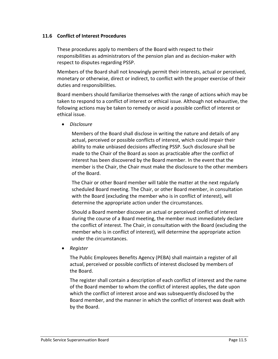### **11.6 Conflict of Interest Procedures**

These procedures apply to members of the Board with respect to their responsibilities as administrators of the pension plan and as decision-maker with respect to disputes regarding PSSP.

Members of the Board shall not knowingly permit their interests, actual or perceived, monetary or otherwise, direct or indirect, to conflict with the proper exercise of their duties and responsibilities.

Board members should familiarize themselves with the range of actions which may be taken to respond to a conflict of interest or ethical issue. Although not exhaustive, the following actions may be taken to remedy or avoid a possible conflict of interest or ethical issue.

• *Disclosure*

Members of the Board shall disclose in writing the nature and details of any actual, perceived or possible conflicts of interest, which could impair their ability to make unbiased decisions affecting PSSP. Such disclosure shall be made to the Chair of the Board as soon as practicable after the conflict of interest has been discovered by the Board member. In the event that the member is the Chair, the Chair must make the disclosure to the other members of the Board.

The Chair or other Board member will table the matter at the next regularly scheduled Board meeting. The Chair, or other Board member, in consultation with the Board (excluding the member who is in conflict of interest), will determine the appropriate action under the circumstances.

Should a Board member discover an actual or perceived conflict of interest during the course of a Board meeting, the member must immediately declare the conflict of interest. The Chair, in consultation with the Board (excluding the member who is in conflict of interest), will determine the appropriate action under the circumstances.

• *Register*

The Public Employees Benefits Agency (PEBA) shall maintain a register of all actual, perceived or possible conflicts of interest disclosed by members of the Board.

The register shall contain a description of each conflict of interest and the name of the Board member to whom the conflict of interest applies, the date upon which the conflict of interest arose and was subsequently disclosed by the Board member, and the manner in which the conflict of interest was dealt with by the Board.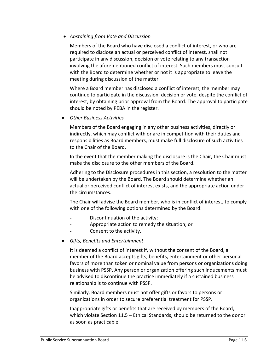• *Abstaining from Vote and Discussion*

Members of the Board who have disclosed a conflict of interest, or who are required to disclose an actual or perceived conflict of interest, shall not participate in any discussion, decision or vote relating to any transaction involving the aforementioned conflict of interest. Such members must consult with the Board to determine whether or not it is appropriate to leave the meeting during discussion of the matter.

Where a Board member has disclosed a conflict of interest, the member may continue to participate in the discussion, decision or vote, despite the conflict of interest, by obtaining prior approval from the Board. The approval to participate should be noted by PEBA in the register.

• *Other Business Activities*

Members of the Board engaging in any other business activities, directly or indirectly, which may conflict with or are in competition with their duties and responsibilities as Board members, must make full disclosure of such activities to the Chair of the Board.

In the event that the member making the disclosure is the Chair, the Chair must make the disclosure to the other members of the Board.

Adhering to the Disclosure procedures in this section, a resolution to the matter will be undertaken by the Board. The Board should determine whether an actual or perceived conflict of interest exists, and the appropriate action under the circumstances.

The Chair will advise the Board member, who is in conflict of interest, to comply with one of the following options determined by the Board:

- Discontinuation of the activity;
- Appropriate action to remedy the situation; or
	- Consent to the activity.
- *Gifts, Benefits and Entertainment*

It is deemed a conflict of interest if, without the consent of the Board, a member of the Board accepts gifts, benefits, entertainment or other personal favors of more than token or nominal value from persons or organizations doing business with PSSP. Any person or organization offering such inducements must be advised to discontinue the practice immediately if a sustained business relationship is to continue with PSSP.

Similarly, Board members must not offer gifts or favors to persons or organizations in order to secure preferential treatment for PSSP.

Inappropriate gifts or benefits that are received by members of the Board, which violate Section 11.5 – Ethical Standards, should be returned to the donor as soon as practicable.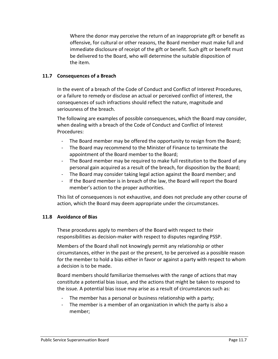Where the donor may perceive the return of an inappropriate gift or benefit as offensive, for cultural or other reasons, the Board member must make full and immediate disclosure of receipt of the gift or benefit. Such gift or benefit must be delivered to the Board, who will determine the suitable disposition of the item.

### **11.7 Consequences of a Breach**

In the event of a breach of the Code of Conduct and Conflict of Interest Procedures, or a failure to remedy or disclose an actual or perceived conflict of interest, the consequences of such infractions should reflect the nature, magnitude and seriousness of the breach.

The following are examples of possible consequences, which the Board may consider, when dealing with a breach of the Code of Conduct and Conflict of Interest Procedures:

- The Board member may be offered the opportunity to resign from the Board;
- The Board may recommend to the Minister of Finance to terminate the appointment of the Board member to the Board;
- The Board member may be required to make full restitution to the Board of any personal gain acquired as a result of the breach, for disposition by the Board;
- The Board may consider taking legal action against the Board member; and
- If the Board member is in breach of the law, the Board will report the Board member's action to the proper authorities.

This list of consequences is not exhaustive, and does not preclude any other course of action, which the Board may deem appropriate under the circumstances.

### **11.8 Avoidance of Bias**

These procedures apply to members of the Board with respect to their responsibilities as decision-maker with respect to disputes regarding PSSP.

Members of the Board shall not knowingly permit any relationship or other circumstances, either in the past or the present, to be perceived as a possible reason for the member to hold a bias either in favor or against a party with respect to whom a decision is to be made.

Board members should familiarize themselves with the range of actions that may constitute a potential bias issue, and the actions that might be taken to respond to the issue. A potential bias issue may arise as a result of circumstances such as:

- The member has a personal or business relationship with a party;
- The member is a member of an organization in which the party is also a member;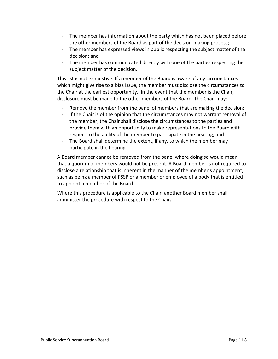- The member has information about the party which has not been placed before the other members of the Board as part of the decision-making process;
- The member has expressed views in public respecting the subject matter of the decision; and
- The member has communicated directly with one of the parties respecting the subject matter of the decision.

This list is not exhaustive. If a member of the Board is aware of any circumstances which might give rise to a bias issue, the member must disclose the circumstances to the Chair at the earliest opportunity. In the event that the member is the Chair, disclosure must be made to the other members of the Board. The Chair may:

- Remove the member from the panel of members that are making the decision;
- If the Chair is of the opinion that the circumstances may not warrant removal of the member, the Chair shall disclose the circumstances to the parties and provide them with an opportunity to make representations to the Board with respect to the ability of the member to participate in the hearing; and
- The Board shall determine the extent, if any, to which the member may participate in the hearing.

A Board member cannot be removed from the panel where doing so would mean that a quorum of members would not be present. A Board member is not required to disclose a relationship that is inherent in the manner of the member's appointment, such as being a member of PSSP or a member or employee of a body that is entitled to appoint a member of the Board.

Where this procedure is applicable to the Chair, another Board member shall administer the procedure with respect to the Chair**.**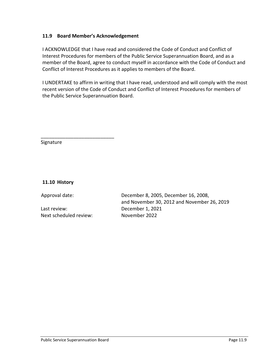### **11.9 Board Member's Acknowledgement**

I ACKNOWLEDGE that I have read and considered the Code of Conduct and Conflict of Interest Procedures for members of the Public Service Superannuation Board, and as a member of the Board, agree to conduct myself in accordance with the Code of Conduct and Conflict of Interest Procedures as it applies to members of the Board.

I UNDERTAKE to affirm in writing that I have read, understood and will comply with the most recent version of the Code of Conduct and Conflict of Interest Procedures for members of the Public Service Superannuation Board.

Signature

**11.10 History**

Last review: December 1, 2021 Next scheduled review: November 2022

\_\_\_\_\_\_\_\_\_\_\_\_\_\_\_\_\_\_\_\_\_\_\_\_\_\_\_

Approval date: December 8, 2005, December 16, 2008, and November 30, 2012 and November 26, 2019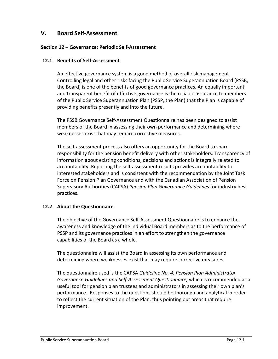# **V. Board Self-Assessment**

### **Section 12 – Governance: Periodic Self-Assessment**

### **12.1 Benefits of Self-Assessment**

An effective governance system is a good method of overall risk management. Controlling legal and other risks facing the Public Service Superannuation Board (PSSB, the Board) is one of the benefits of good governance practices. An equally important and transparent benefit of effective governance is the reliable assurance to members of the Public Service Superannuation Plan (PSSP, the Plan) that the Plan is capable of providing benefits presently and into the future.

The PSSB Governance Self-Assessment Questionnaire has been designed to assist members of the Board in assessing their own performance and determining where weaknesses exist that may require corrective measures.

The self-assessment process also offers an opportunity for the Board to share responsibility for the pension benefit delivery with other stakeholders. Transparency of information about existing conditions, decisions and actions is integrally related to accountability. Reporting the self-assessment results provides accountability to interested stakeholders and is consistent with the recommendation by the Joint Task Force on Pension Plan Governance and with the Canadian Association of Pension Supervisory Authorities (CAPSA) *Pension Plan Governance Guidelines* for industry best practices.

### **12.2 About the Questionnaire**

The objective of the Governance Self-Assessment Questionnaire is to enhance the awareness and knowledge of the individual Board members as to the performance of PSSP and its governance practices in an effort to strengthen the governance capabilities of the Board as a whole.

The questionnaire will assist the Board in assessing its own performance and determining where weaknesses exist that may require corrective measures.

The questionnaire used is the CAPSA *Guideline No. 4: Pension Plan Administrator Governance Guidelines and Self-Assessment Questionnaire,* which is recommended as a useful tool for pension plan trustees and administrators in assessing their own plan's performance. Responses to the questions should be thorough and analytical in order to reflect the current situation of the Plan, thus pointing out areas that require improvement.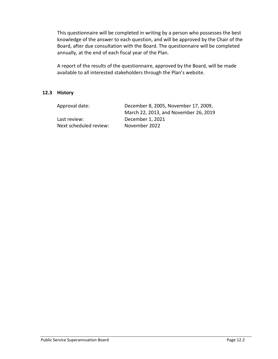This questionnaire will be completed in writing by a person who possesses the best knowledge of the answer to each question, and will be approved by the Chair of the Board, after due consultation with the Board. The questionnaire will be completed annually, at the end of each fiscal year of the Plan.

A report of the results of the questionnaire, approved by the Board, will be made available to all interested stakeholders through the Plan's website.

### **12.3 History**

| Approval date:         | December 8, 2005, November 17, 2009,  |
|------------------------|---------------------------------------|
|                        | March 22, 2013, and November 26, 2019 |
| Last review:           | December 1, 2021                      |
| Next scheduled review: | November 2022                         |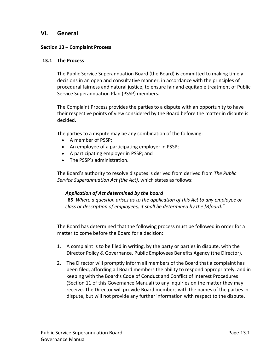## **VI. General**

### **Section 13 – Complaint Process**

### **13.1 The Process**

The Public Service Superannuation Board (the Board) is committed to making timely decisions in an open and consultative manner, in accordance with the principles of procedural fairness and natural justice, to ensure fair and equitable treatment of Public Service Superannuation Plan (PSSP) members.

The Complaint Process provides the parties to a dispute with an opportunity to have their respective points of view considered by the Board before the matter in dispute is decided.

The parties to a dispute may be any combination of the following:

- A member of PSSP;
- An employee of a participating employer in PSSP;
- A participating employer in PSSP; and
- The PSSP's administration.

The Board's authority to resolve disputes is derived from derived from *The Public Service Superannuation Act (the Act)*, which states as follows:

### *Application of Act determined by the board*

"**65** *Where a question arises as to the application of this Act to any employee or class or description of employees, it shall be determined by the [B]oard."*

The Board has determined that the following process must be followed in order for a matter to come before the Board for a decision:

- 1. A complaint is to be filed in writing, by the party or parties in dispute, with the Director Policy & Governance, Public Employees Benefits Agency (the Director).
- 2. The Director will promptly inform all members of the Board that a complaint has been filed, affording all Board members the ability to respond appropriately, and in keeping with the Board's Code of Conduct and Conflict of Interest Procedures (Section 11 of this Governance Manual) to any inquiries on the matter they may receive. The Director will provide Board members with the names of the parties in dispute, but will not provide any further information with respect to the dispute.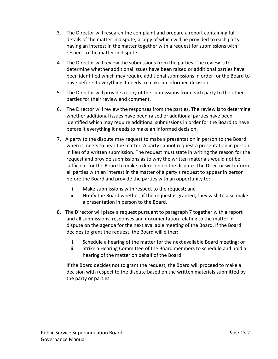- 3. The Director will research the complaint and prepare a report containing full details of the matter in dispute, a copy of which will be provided to each party having an interest in the matter together with a request for submissions with respect to the matter in dispute.
- 4. The Director will review the submissions from the parties. The review is to determine whether additional issues have been raised or additional parties have been identified which may require additional submissions in order for the Board to have before it everything it needs to make an informed decision.
- 5. The Director will provide a copy of the submissions from each party to the other parties for their review and comment.
- 6. The Director will review the responses from the parties. The review is to determine whether additional issues have been raised or additional parties have been identified which may require additional submissions in order for the Board to have before it everything it needs to make an informed decision.
- 7. A party to the dispute may request to make a presentation in person to the Board when it meets to hear the matter. A party cannot request a presentation in person in lieu of a written submission. The request must state in writing the reason for the request and provide submissions as to why the written materials would not be sufficient for the Board to make a decision on the dispute. The Director will inform all parties with an interest in the matter of a party's request to appear in person before the Board and provide the parties with an opportunity to:
	- i. Make submissions with respect to the request; and
	- ii. Notify the Board whether, if the request is granted, they wish to also make a presentation in person to the Board.
- 8. The Director will place a request pursuant to paragraph 7 together with a report and all submissions, responses and documentation relating to the matter in dispute on the agenda for the next available meeting of the Board. If the Board decides to grant the request, the Board will either:
	- i. Schedule a hearing of the matter for the next available Board meeting; or
	- ii. Strike a Hearing Committee of the Board members to schedule and hold a hearing of the matter on behalf of the Board.

If the Board decides not to grant the request, the Board will proceed to make a decision with respect to the dispute based on the written materials submitted by the party or parties.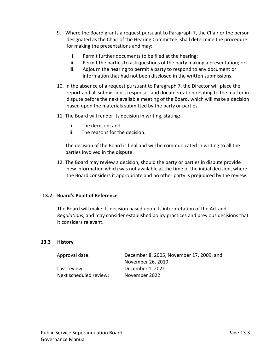- 9. Where the Board grants a request pursuant to Paragraph 7, the Chair or the person designated as the Chair of the Hearing Committee, shall determine the procedure for making the presentations and may:
	- i. Permit further documents to be filed at the hearing;
	- ii. Permit the parties to ask questions of the party making a presentation; or
	- iii. Adjourn the hearing to permit a party to respond to any document or information that had not been disclosed in the written submissions.
- 10. In the absence of a request pursuant to Paragraph 7, the Director will place the report and all submissions, responses and documentation relating to the matter in dispute before the next available meeting of the Board, which will make a decision based upon the materials submitted by the party or parties.
- 11. The Board will render its decision in writing, stating:
	- i. The decision; and
	- ii. The reasons for the decision.

The decision of the Board is final and will be communicated in writing to all the parties involved in the dispute.

12. The Board may review a decision, should the party or parties in dispute provide new information which was not available at the time of the initial decision, where the Board considers it appropriate and no other party is prejudiced by the review.

### **13.2 Board's Point of Reference**

The Board will make its decision based upon its interpretation of the Act and *Regulations*, and may consider established policy practices and previous decisions that it considers relevant.

### **13.3 History**

| Approval date:         | December 8, 2005, November 17, 2009, and |
|------------------------|------------------------------------------|
|                        | November 26, 2019                        |
| Last review:           | December 1, 2021                         |
| Next scheduled review: | November 2022                            |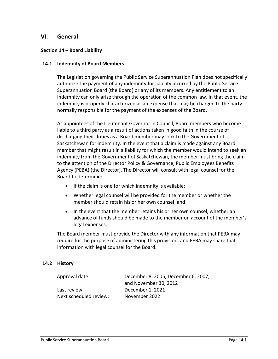### **VI. General**

### **Section 14 – Board Liability**

#### **14.1 Indemnity of Board Members**

The Legislation governing the Public Service Superannuation Plan does not specifically authorize the payment of any indemnity for liability incurred by the Public Service Superannuation Board (the Board) or any of its members. Any entitlement to an indemnity can only arise through the operation of the common law. In that event, the indemnity is properly characterized as an expense that may be charged to the party normally responsible for the payment of the expenses of the Board.

As appointees of the Lieutenant Governor in Council, Board members who become liable to a third party as a result of actions taken in good faith in the course of discharging their duties as a Board member may look to the Government of Saskatchewan for indemnity. In the event that a claim is made against any Board member that might result in a liability for which the member would intend to seek an indemnity from the Government of Saskatchewan, the member must bring the claim to the attention of the Director Policy & Governance, Public Employees Benefits Agency (PEBA) (the Director). The Director will consult with legal counsel for the Board to determine:

- If the claim is one for which indemnity is available;
- Whether legal counsel will be provided for the member or whether the member should retain his or her own counsel; and
- In the event that the member retains his or her own counsel, whether an advance of funds should be made to the member on account of the member's legal expenses.

The Board member must provide the Director with any information that PEBA may require for the purpose of administering this provision, and PEBA may share that information with legal counsel for the Board.

### **14.2 History**

| Approval date:         | December 8, 2005, December 6, 2007, |
|------------------------|-------------------------------------|
|                        | and November 30, 2012               |
| Last review:           | December 1, 2021                    |
| Next scheduled review: | November 2022                       |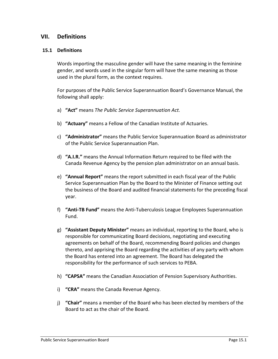## **VII. Definitions**

### **15.1 Definitions**

Words importing the masculine gender will have the same meaning in the feminine gender, and words used in the singular form will have the same meaning as those used in the plural form, as the context requires.

For purposes of the Public Service Superannuation Board's Governance Manual, the following shall apply:

- a) **"Act"** means *The Public Service Superannuation Act.*
- b) **"Actuary"** means a Fellow of the Canadian Institute of Actuaries.
- c) **"Administrator"** means the Public Service Superannuation Board as administrator of the Public Service Superannuation Plan.
- d) **"A.I.R."** means the Annual Information Return required to be filed with the Canada Revenue Agency by the pension plan administrator on an annual basis.
- e) **"Annual Report"** means the report submitted in each fiscal year of the Public Service Superannuation Plan by the Board to the Minister of Finance setting out the business of the Board and audited financial statements for the preceding fiscal year.
- f) **"Anti-TB Fund"** means the Anti-Tuberculosis League Employees Superannuation Fund.
- g) **"Assistant Deputy Minister"** means an individual, reporting to the Board, who is responsible for communicating Board decisions, negotiating and executing agreements on behalf of the Board, recommending Board policies and changes thereto, and apprising the Board regarding the activities of any party with whom the Board has entered into an agreement. The Board has delegated the responsibility for the performance of such services to PEBA.
- h) **"CAPSA"** means the Canadian Association of Pension Supervisory Authorities.
- i) **"CRA"** means the Canada Revenue Agency.
- j) **"Chair"** means a member of the Board who has been elected by members of the Board to act as the chair of the Board.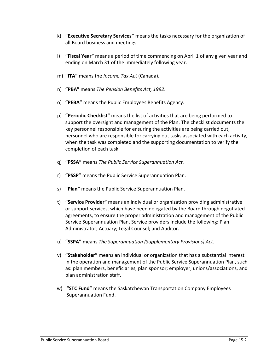- k) **"Executive Secretary Services"** means the tasks necessary for the organization of all Board business and meetings.
- l) **"Fiscal Year"** means a period of time commencing on April 1 of any given year and ending on March 31 of the immediately following year.
- m) **"ITA"** means the *Income Tax Act* (Canada).
- n) **"PBA"** means *The Pension Benefits Act, 1992*.
- o) **"PEBA"** means the Public Employees Benefits Agency.
- p) **"Periodic Checklist"** means the list of activities that are being performed to support the oversight and management of the Plan. The checklist documents the key personnel responsible for ensuring the activities are being carried out, personnel who are responsible for carrying out tasks associated with each activity, when the task was completed and the supporting documentation to verify the completion of each task.
- q) **"PSSA"** means *The Public Service Superannuation Act.*
- r) **"PSSP"** means the Public Service Superannuation Plan.
- s) **"Plan"** means the Public Service Superannuation Plan.
- t) **"Service Provider"** means an individual or organization providing administrative or support services, which have been delegated by the Board through negotiated agreements, to ensure the proper administration and management of the Public Service Superannuation Plan. Service providers include the following: Plan Administrator; Actuary; Legal Counsel; and Auditor.
- u) **"SSPA"** means *The Superannuation (Supplementary Provisions) Act.*
- v) **"Stakeholder"** means an individual or organization that has a substantial interest in the operation and management of the Public Service Superannuation Plan, such as: plan members, beneficiaries, plan sponsor; employer, unions/associations, and plan administration staff.
- w) **"STC Fund"** means the Saskatchewan Transportation Company Employees Superannuation Fund.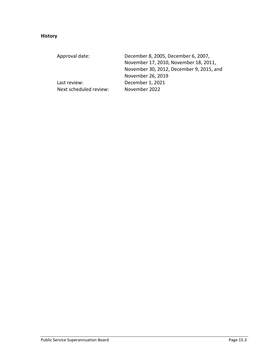# **History**

| Approval date:         | December 8, 2005, December 6, 2007,      |
|------------------------|------------------------------------------|
|                        | November 17, 2010, November 18, 2011,    |
|                        | November 30, 2012, December 9, 2015, and |
|                        | November 26, 2019                        |
| Last review:           | December 1, 2021                         |
| Next scheduled review: | November 2022                            |
|                        |                                          |